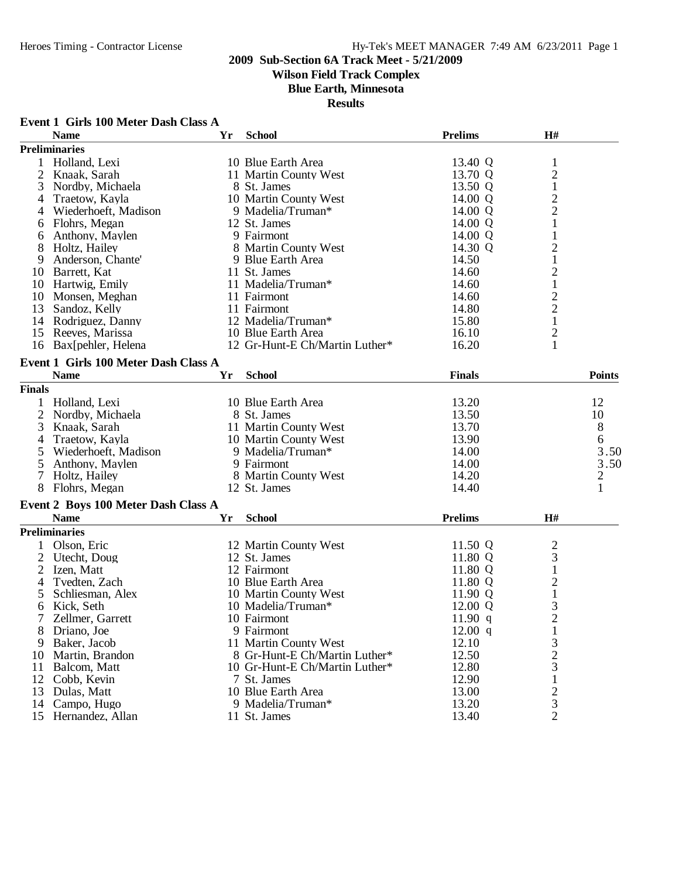# **Wilson Field Track Complex**

**Blue Earth, Minnesota**

| Event 1 Girls 100 Meter Dash Class A |  |  |  |  |  |  |  |
|--------------------------------------|--|--|--|--|--|--|--|
|--------------------------------------|--|--|--|--|--|--|--|

|                | <b>Name</b>                          | Yr | <b>School</b>                  | <b>Prelims</b> | H#                      |               |
|----------------|--------------------------------------|----|--------------------------------|----------------|-------------------------|---------------|
|                | <b>Preliminaries</b>                 |    |                                |                |                         |               |
| 1              | Holland, Lexi                        |    | 10 Blue Earth Area             | 13.40 Q        | $\mathbf{1}$            |               |
| $\overline{2}$ | Knaak, Sarah                         |    | 11 Martin County West          | 13.70 Q        | $\overline{\mathbf{c}}$ |               |
| 3              | Nordby, Michaela                     |    | 8 St. James                    | 13.50 Q        | $\mathbf{1}$            |               |
| 4              | Traetow, Kayla                       |    | 10 Martin County West          | 14.00 Q        |                         |               |
| 4              | Wiederhoeft, Madison                 |    | 9 Madelia/Truman*              | 14.00 Q        | $\frac{2}{2}$           |               |
| 6              | Flohrs, Megan                        |    | 12 St. James                   | 14.00 Q        | $\mathbf{1}$            |               |
| 6              | Anthony, Maylen                      |    | 9 Fairmont                     | 14.00 Q        | $\mathbf{1}$            |               |
| 8              | Holtz, Hailey                        |    | 8 Martin County West           | 14.30 Q        | $\overline{\mathbf{c}}$ |               |
| 9              | Anderson, Chante'                    |    | 9 Blue Earth Area              | 14.50          | $\mathbf{1}$            |               |
| 10             | Barrett, Kat                         |    | 11 St. James                   | 14.60          |                         |               |
| 10             | Hartwig, Emily                       |    | 11 Madelia/Truman*             | 14.60          | $\frac{2}{1}$           |               |
| 10             | Monsen, Meghan                       |    | 11 Fairmont                    | 14.60          | $\overline{c}$          |               |
| 13             | Sandoz, Kelly                        |    | 11 Fairmont                    | 14.80          | $\overline{c}$          |               |
|                | 14 Rodriguez, Danny                  |    | 12 Madelia/Truman*             | 15.80          | $\mathbf{1}$            |               |
|                | 15 Reeves, Marissa                   |    | 10 Blue Earth Area             | 16.10          |                         |               |
|                |                                      |    |                                |                | $\overline{c}$<br>1     |               |
| 16             | Bax[pehler, Helena                   |    | 12 Gr-Hunt-E Ch/Martin Luther* | 16.20          |                         |               |
|                | Event 1 Girls 100 Meter Dash Class A |    |                                |                |                         |               |
|                | <b>Name</b>                          | Yr | <b>School</b>                  | <b>Finals</b>  |                         | <b>Points</b> |
| <b>Finals</b>  |                                      |    |                                |                |                         |               |
| 1              | Holland, Lexi                        |    | 10 Blue Earth Area             | 13.20          |                         | 12            |
| $\overline{2}$ | Nordby, Michaela                     |    | 8 St. James                    | 13.50          |                         | 10            |
| 3              | Knaak, Sarah                         |    | 11 Martin County West          | 13.70          |                         | 8             |
| 4              | Traetow, Kayla                       |    | 10 Martin County West          | 13.90          |                         | 6             |
| 5              | Wiederhoeft, Madison                 |    | 9 Madelia/Truman*              | 14.00          |                         | 3.50          |
| 5              | Anthony, Maylen                      |    | 9 Fairmont                     | 14.00          |                         | 3.50          |
| 7              | Holtz, Hailey                        |    | 8 Martin County West           | 14.20          |                         |               |
| 8              | Flohrs, Megan                        |    | 12 St. James                   | 14.40          |                         | $\frac{2}{1}$ |
|                |                                      |    |                                |                |                         |               |
|                | Event 2 Boys 100 Meter Dash Class A  |    |                                |                |                         |               |
|                | <b>Name</b>                          | Yr | <b>School</b>                  | <b>Prelims</b> | H#                      |               |
|                | <b>Preliminaries</b>                 |    |                                |                |                         |               |
|                | Olson, Eric                          |    | 12 Martin County West          | 11.50 Q        | $\overline{\mathbf{c}}$ |               |
| $\overline{2}$ | Utecht, Doug                         |    | 12 St. James                   | 11.80 Q        | 3                       |               |
| $\overline{2}$ | Izen, Matt                           |    | 12 Fairmont                    | 11.80 Q        | $\mathbf{1}$            |               |
| 4              | Tvedten, Zach                        |    | 10 Blue Earth Area             | 11.80 Q        | $\overline{c}$          |               |
| 5              | Schliesman, Alex                     |    | 10 Martin County West          | 11.90 Q        | $\mathbf{1}$            |               |
| 6              | Kick, Seth                           |    | 10 Madelia/Truman*             | 12.00 Q        | 3                       |               |
|                | Zellmer, Garrett                     |    | 10 Fairmont                    | 11.90 q        | $\overline{c}$          |               |
| 8              | Driano, Joe                          |    | 9 Fairmont                     | 12.00 q        | $\mathbf{1}$            |               |
| 9              | Baker, Jacob                         |    | 11 Martin County West          | 12.10          | 3                       |               |
| 10             | Martin, Brandon                      |    | 8 Gr-Hunt-E Ch/Martin Luther*  | 12.50          | $\overline{c}$          |               |
| 11             | Balcom, Matt                         |    | 10 Gr-Hunt-E Ch/Martin Luther* | 12.80          | 3                       |               |
| 12             | Cobb, Kevin                          |    | 7 St. James                    | 12.90          | 1                       |               |
| 13             | Dulas, Matt                          |    | 10 Blue Earth Area             | 13.00          |                         |               |
| 14             | Campo, Hugo                          |    | 9 Madelia/Truman*              | 13.20          | $\frac{2}{3}$           |               |
| 15             | Hernandez, Allan                     |    | 11 St. James                   | 13.40          | $\overline{2}$          |               |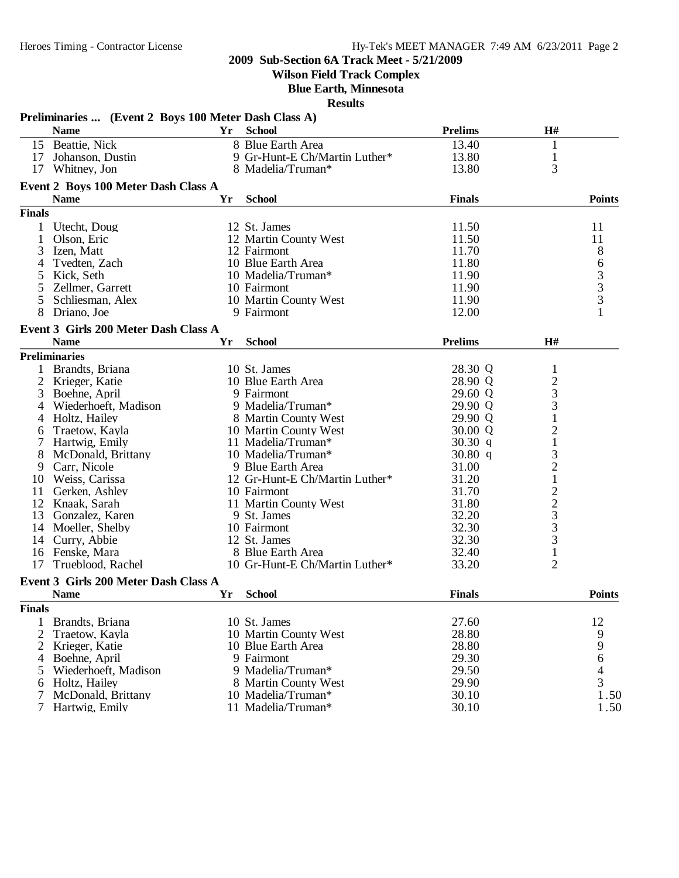**Wilson Field Track Complex**

**Blue Earth, Minnesota**

|                | Preliminaries  (Event 2 Boys 100 Meter Dash Class A) |    |                                |                |                   |               |
|----------------|------------------------------------------------------|----|--------------------------------|----------------|-------------------|---------------|
|                | <b>Name</b>                                          | Yr | <b>School</b>                  | <b>Prelims</b> | H#                |               |
|                | 15 Beattie, Nick                                     |    | 8 Blue Earth Area              | 13.40          | $\mathbf{1}$      |               |
|                | 17 Johanson, Dustin                                  |    | 9 Gr-Hunt-E Ch/Martin Luther*  | 13.80          | $\mathbf{1}$      |               |
|                | 17 Whitney, Jon                                      |    | 8 Madelia/Truman*              | 13.80          | 3                 |               |
|                | Event 2 Boys 100 Meter Dash Class A                  |    |                                |                |                   |               |
|                | <b>Name</b>                                          | Yr | <b>School</b>                  | <b>Finals</b>  |                   | <b>Points</b> |
| <b>Finals</b>  |                                                      |    |                                |                |                   |               |
|                |                                                      |    |                                |                |                   |               |
|                | 1 Utecht, Doug                                       |    | 12 St. James                   | 11.50          |                   | 11            |
| 1              | Olson, Eric                                          |    | 12 Martin County West          | 11.50          |                   | 11            |
| 3              | Izen, Matt                                           |    | 12 Fairmont                    | 11.70          |                   | 8             |
| 4              | Tvedten, Zach                                        |    | 10 Blue Earth Area             | 11.80          |                   |               |
| 5              | Kick, Seth                                           |    | 10 Madelia/Truman*             | 11.90          |                   | 6333          |
| 5              | Zellmer, Garrett                                     |    | 10 Fairmont                    | 11.90          |                   |               |
| 5              | Schliesman, Alex                                     |    | 10 Martin County West          | 11.90          |                   |               |
| 8              | Driano, Joe                                          |    | 9 Fairmont                     | 12.00          |                   | $\mathbf{1}$  |
|                | Event 3 Girls 200 Meter Dash Class A                 |    |                                |                |                   |               |
|                | <b>Name</b>                                          | Yr | <b>School</b>                  | <b>Prelims</b> | H#                |               |
|                | <b>Preliminaries</b>                                 |    |                                |                |                   |               |
| $\mathbf{1}$   | Brandts, Briana                                      |    | 10 St. James                   | 28.30 Q        | $\mathbf{1}$      |               |
| $\overline{2}$ | Krieger, Katie                                       |    | 10 Blue Earth Area             | 28.90 Q        |                   |               |
| 3              | Boehne, April                                        |    | 9 Fairmont                     | 29.60 Q        |                   |               |
| 4              | Wiederhoeft, Madison                                 |    | 9 Madelia/Truman*              | 29.90 Q        | $\frac{2}{3}$     |               |
| $\overline{4}$ | Holtz, Hailey                                        |    | 8 Martin County West           | 29.90 Q        | $\mathbf 1$       |               |
| 6              | Traetow, Kayla                                       |    | 10 Martin County West          | 30.00 Q        | $\overline{c}$    |               |
| 7              | Hartwig, Emily                                       |    | 11 Madelia/Truman*             | 30.30 q        | $\mathbf{1}$      |               |
| 8              | McDonald, Brittany                                   |    | 10 Madelia/Truman*             | 30.80 q        | 3                 |               |
| 9              | Carr, Nicole                                         |    | 9 Blue Earth Area              | 31.00          |                   |               |
| 10             | Weiss, Carissa                                       |    | 12 Gr-Hunt-E Ch/Martin Luther* | 31.20          | $21223$<br>3<br>3 |               |
| 11             | Gerken, Ashley                                       |    | 10 Fairmont                    | 31.70          |                   |               |
|                | 12 Knaak, Sarah                                      |    | 11 Martin County West          | 31.80          |                   |               |
|                | 13 Gonzalez, Karen                                   |    | 9 St. James                    | 32.20          |                   |               |
|                | 14 Moeller, Shelby                                   |    | 10 Fairmont                    | 32.30          |                   |               |
| 14             | Curry, Abbie                                         |    | 12 St. James                   | 32.30          | 3                 |               |
|                | 16 Fenske, Mara                                      |    | 8 Blue Earth Area              | 32.40          | $\mathbf 1$       |               |
| 17             | Trueblood, Rachel                                    |    | 10 Gr-Hunt-E Ch/Martin Luther* | 33.20          | $\overline{2}$    |               |
|                |                                                      |    |                                |                |                   |               |
|                | Event 3 Girls 200 Meter Dash Class A                 |    |                                |                |                   |               |
|                | <b>Name</b>                                          | Yr | <b>School</b>                  | <b>Finals</b>  |                   | <b>Points</b> |
| <b>Finals</b>  |                                                      |    |                                |                |                   |               |
| 1              | Brandts, Briana                                      |    | 10 St. James                   | 27.60          |                   | 12            |
| 2              | Traetow, Kayla                                       |    | 10 Martin County West          | 28.80          |                   | 9             |
| 2              | Krieger, Katie                                       |    | 10 Blue Earth Area             | 28.80          |                   | 9             |
| 4              | Boehne, April                                        |    | 9 Fairmont                     | 29.30          |                   | 6             |
| 5              | Wiederhoeft, Madison                                 |    | 9 Madelia/Truman*              | 29.50          |                   | 4             |
| 6              | Holtz, Hailey                                        |    | 8 Martin County West           | 29.90          |                   | 3             |
| 7              | McDonald, Brittany                                   |    | 10 Madelia/Truman*             | 30.10          |                   | 1.50          |
|                | Hartwig, Emily                                       |    | 11 Madelia/Truman*             | 30.10          |                   | 1.50          |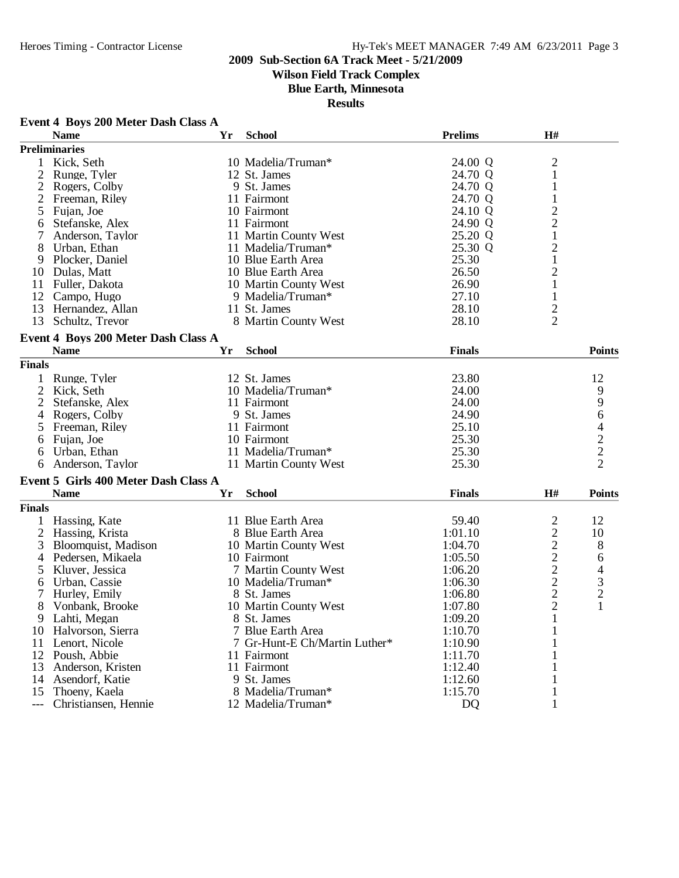**Event 4 Boys 200 Meter Dash Class A**

### **2009 Sub-Section 6A Track Meet - 5/21/2009**

# **Wilson Field Track Complex**

**Blue Earth, Minnesota**

| <b>Preliminaries</b><br>$\overline{c}$<br>Kick, Seth<br>10 Madelia/Truman*<br>24.00 Q<br>1<br>$\mathbf{1}$<br>2<br>Runge, Tyler<br>12 St. James<br>24.70 Q<br>$\overline{2}$<br>Rogers, Colby<br>9 St. James<br>24.70 Q<br>1<br>24.70 Q<br>$\mathbf{1}$<br>$\overline{2}$<br>Freeman, Riley<br>11 Fairmont<br>$\overline{c}$<br>5<br>Fujan, Joe<br>10 Fairmont<br>24.10 Q<br>$\overline{c}$<br>24.90 Q<br>Stefanske, Alex<br>11 Fairmont<br>6<br>$\mathbf{1}$<br>11 Martin County West<br>25.20 Q<br>7<br>Anderson, Taylor<br>$\mathbf{2}$<br>Urban, Ethan<br>11 Madelia/Truman*<br>25.30 Q<br>8<br>$\mathbf{1}$<br>Plocker, Daniel<br>10 Blue Earth Area<br>25.30<br>9<br>$\mathbf{2}$<br>10 Dulas, Matt<br>10 Blue Earth Area<br>26.50<br>$\mathbf{1}$<br>26.90<br>11 Fuller, Dakota<br>10 Martin County West<br>12 Campo, Hugo<br>9 Madelia/Truman*<br>27.10<br>1<br>$\frac{2}{2}$<br>13<br>Hernandez, Allan<br>11 St. James<br>28.10<br>13<br>28.10<br>Schultz, Trevor<br>8 Martin County West<br>Event 4 Boys 200 Meter Dash Class A<br><b>Name</b><br><b>School</b><br><b>Finals</b><br>Yr | <b>Name</b>   | Yr | <b>School</b> | <b>Prelims</b> | H# |               |
|--------------------------------------------------------------------------------------------------------------------------------------------------------------------------------------------------------------------------------------------------------------------------------------------------------------------------------------------------------------------------------------------------------------------------------------------------------------------------------------------------------------------------------------------------------------------------------------------------------------------------------------------------------------------------------------------------------------------------------------------------------------------------------------------------------------------------------------------------------------------------------------------------------------------------------------------------------------------------------------------------------------------------------------------------------------------------------------------------|---------------|----|---------------|----------------|----|---------------|
|                                                                                                                                                                                                                                                                                                                                                                                                                                                                                                                                                                                                                                                                                                                                                                                                                                                                                                                                                                                                                                                                                                  |               |    |               |                |    |               |
|                                                                                                                                                                                                                                                                                                                                                                                                                                                                                                                                                                                                                                                                                                                                                                                                                                                                                                                                                                                                                                                                                                  |               |    |               |                |    |               |
|                                                                                                                                                                                                                                                                                                                                                                                                                                                                                                                                                                                                                                                                                                                                                                                                                                                                                                                                                                                                                                                                                                  |               |    |               |                |    |               |
|                                                                                                                                                                                                                                                                                                                                                                                                                                                                                                                                                                                                                                                                                                                                                                                                                                                                                                                                                                                                                                                                                                  |               |    |               |                |    |               |
|                                                                                                                                                                                                                                                                                                                                                                                                                                                                                                                                                                                                                                                                                                                                                                                                                                                                                                                                                                                                                                                                                                  |               |    |               |                |    |               |
|                                                                                                                                                                                                                                                                                                                                                                                                                                                                                                                                                                                                                                                                                                                                                                                                                                                                                                                                                                                                                                                                                                  |               |    |               |                |    |               |
|                                                                                                                                                                                                                                                                                                                                                                                                                                                                                                                                                                                                                                                                                                                                                                                                                                                                                                                                                                                                                                                                                                  |               |    |               |                |    |               |
|                                                                                                                                                                                                                                                                                                                                                                                                                                                                                                                                                                                                                                                                                                                                                                                                                                                                                                                                                                                                                                                                                                  |               |    |               |                |    |               |
|                                                                                                                                                                                                                                                                                                                                                                                                                                                                                                                                                                                                                                                                                                                                                                                                                                                                                                                                                                                                                                                                                                  |               |    |               |                |    |               |
|                                                                                                                                                                                                                                                                                                                                                                                                                                                                                                                                                                                                                                                                                                                                                                                                                                                                                                                                                                                                                                                                                                  |               |    |               |                |    |               |
|                                                                                                                                                                                                                                                                                                                                                                                                                                                                                                                                                                                                                                                                                                                                                                                                                                                                                                                                                                                                                                                                                                  |               |    |               |                |    |               |
|                                                                                                                                                                                                                                                                                                                                                                                                                                                                                                                                                                                                                                                                                                                                                                                                                                                                                                                                                                                                                                                                                                  |               |    |               |                |    |               |
|                                                                                                                                                                                                                                                                                                                                                                                                                                                                                                                                                                                                                                                                                                                                                                                                                                                                                                                                                                                                                                                                                                  |               |    |               |                |    |               |
|                                                                                                                                                                                                                                                                                                                                                                                                                                                                                                                                                                                                                                                                                                                                                                                                                                                                                                                                                                                                                                                                                                  |               |    |               |                |    |               |
|                                                                                                                                                                                                                                                                                                                                                                                                                                                                                                                                                                                                                                                                                                                                                                                                                                                                                                                                                                                                                                                                                                  |               |    |               |                |    |               |
|                                                                                                                                                                                                                                                                                                                                                                                                                                                                                                                                                                                                                                                                                                                                                                                                                                                                                                                                                                                                                                                                                                  |               |    |               |                |    |               |
|                                                                                                                                                                                                                                                                                                                                                                                                                                                                                                                                                                                                                                                                                                                                                                                                                                                                                                                                                                                                                                                                                                  |               |    |               |                |    |               |
|                                                                                                                                                                                                                                                                                                                                                                                                                                                                                                                                                                                                                                                                                                                                                                                                                                                                                                                                                                                                                                                                                                  |               |    |               |                |    | <b>Points</b> |
|                                                                                                                                                                                                                                                                                                                                                                                                                                                                                                                                                                                                                                                                                                                                                                                                                                                                                                                                                                                                                                                                                                  | <b>Finals</b> |    |               |                |    |               |
| 12 St. James<br>23.80<br>12<br>Runge, Tyler<br>1                                                                                                                                                                                                                                                                                                                                                                                                                                                                                                                                                                                                                                                                                                                                                                                                                                                                                                                                                                                                                                                 |               |    |               |                |    |               |
| $\overline{2}$<br>9<br>Kick, Seth<br>10 Madelia/Truman*<br>24.00                                                                                                                                                                                                                                                                                                                                                                                                                                                                                                                                                                                                                                                                                                                                                                                                                                                                                                                                                                                                                                 |               |    |               |                |    |               |
| 9<br>24.00<br>2<br>Stefanske, Alex<br>11 Fairmont                                                                                                                                                                                                                                                                                                                                                                                                                                                                                                                                                                                                                                                                                                                                                                                                                                                                                                                                                                                                                                                |               |    |               |                |    |               |
| 6<br>9 St. James<br>24.90<br>4<br>Rogers, Colby                                                                                                                                                                                                                                                                                                                                                                                                                                                                                                                                                                                                                                                                                                                                                                                                                                                                                                                                                                                                                                                  |               |    |               |                |    |               |
| 11 Fairmont<br>25.10<br>4<br>Freeman, Riley<br>5                                                                                                                                                                                                                                                                                                                                                                                                                                                                                                                                                                                                                                                                                                                                                                                                                                                                                                                                                                                                                                                 |               |    |               |                |    |               |
| $\overline{c}$<br>25.30<br>Fujan, Joe<br>10 Fairmont<br>6                                                                                                                                                                                                                                                                                                                                                                                                                                                                                                                                                                                                                                                                                                                                                                                                                                                                                                                                                                                                                                        |               |    |               |                |    |               |
| $\overline{2}$<br>25.30<br>Urban, Ethan<br>11 Madelia/Truman*<br>6                                                                                                                                                                                                                                                                                                                                                                                                                                                                                                                                                                                                                                                                                                                                                                                                                                                                                                                                                                                                                               |               |    |               |                |    |               |
| 25.30<br>Anderson, Taylor<br>11 Martin County West<br>6                                                                                                                                                                                                                                                                                                                                                                                                                                                                                                                                                                                                                                                                                                                                                                                                                                                                                                                                                                                                                                          |               |    |               |                |    |               |
|                                                                                                                                                                                                                                                                                                                                                                                                                                                                                                                                                                                                                                                                                                                                                                                                                                                                                                                                                                                                                                                                                                  |               |    |               |                |    |               |
| Event 5 Girls 400 Meter Dash Class A                                                                                                                                                                                                                                                                                                                                                                                                                                                                                                                                                                                                                                                                                                                                                                                                                                                                                                                                                                                                                                                             |               |    |               |                |    |               |
| H#<br><b>Name</b><br><b>School</b><br><b>Finals</b><br>Yr                                                                                                                                                                                                                                                                                                                                                                                                                                                                                                                                                                                                                                                                                                                                                                                                                                                                                                                                                                                                                                        |               |    |               |                |    | <b>Points</b> |
| <b>Finals</b>                                                                                                                                                                                                                                                                                                                                                                                                                                                                                                                                                                                                                                                                                                                                                                                                                                                                                                                                                                                                                                                                                    |               |    |               |                |    |               |
| 1 Hassing, Kate<br>11 Blue Earth Area<br>12<br>59.40<br>2                                                                                                                                                                                                                                                                                                                                                                                                                                                                                                                                                                                                                                                                                                                                                                                                                                                                                                                                                                                                                                        |               |    |               |                |    |               |
| $\overline{c}$<br>$\overline{2}$<br>8 Blue Earth Area<br>10<br>Hassing, Krista<br>1:01.10                                                                                                                                                                                                                                                                                                                                                                                                                                                                                                                                                                                                                                                                                                                                                                                                                                                                                                                                                                                                        |               |    |               |                |    |               |
| $\overline{c}$<br>3<br>Bloomquist, Madison<br>10 Martin County West<br>1:04.70<br>8                                                                                                                                                                                                                                                                                                                                                                                                                                                                                                                                                                                                                                                                                                                                                                                                                                                                                                                                                                                                              |               |    |               |                |    |               |
| Pedersen, Mikaela<br>10 Fairmont<br>1:05.50<br>4<br>6                                                                                                                                                                                                                                                                                                                                                                                                                                                                                                                                                                                                                                                                                                                                                                                                                                                                                                                                                                                                                                            |               |    |               |                |    |               |
| 5<br>Kluver, Jessica<br>7 Martin County West<br>1:06.20<br>4                                                                                                                                                                                                                                                                                                                                                                                                                                                                                                                                                                                                                                                                                                                                                                                                                                                                                                                                                                                                                                     |               |    |               |                |    |               |
| $\begin{array}{c} 2 \\ 2 \\ 2 \end{array}$<br>$\mathfrak{Z}$<br>Urban, Cassie<br>10 Madelia/Truman*<br>1:06.30<br>6                                                                                                                                                                                                                                                                                                                                                                                                                                                                                                                                                                                                                                                                                                                                                                                                                                                                                                                                                                              |               |    |               |                |    |               |
| $\sqrt{2}$<br>Hurley, Emily<br>7<br>8 St. James<br>1:06.80                                                                                                                                                                                                                                                                                                                                                                                                                                                                                                                                                                                                                                                                                                                                                                                                                                                                                                                                                                                                                                       |               |    |               |                |    |               |
| $\overline{2}$<br>10 Martin County West<br>8<br>Vonbank, Brooke<br>1:07.80<br>1                                                                                                                                                                                                                                                                                                                                                                                                                                                                                                                                                                                                                                                                                                                                                                                                                                                                                                                                                                                                                  |               |    |               |                |    |               |
| $\mathbf{1}$<br>9 Lahti, Megan<br>8 St. James<br>1:09.20                                                                                                                                                                                                                                                                                                                                                                                                                                                                                                                                                                                                                                                                                                                                                                                                                                                                                                                                                                                                                                         |               |    |               |                |    |               |
| 7 Blue Earth Area<br>10 Halvorson, Sierra<br>1<br>1:10.70                                                                                                                                                                                                                                                                                                                                                                                                                                                                                                                                                                                                                                                                                                                                                                                                                                                                                                                                                                                                                                        |               |    |               |                |    |               |
| 11 Lenort, Nicole<br>7 Gr-Hunt-E Ch/Martin Luther*<br>1<br>1:10.90                                                                                                                                                                                                                                                                                                                                                                                                                                                                                                                                                                                                                                                                                                                                                                                                                                                                                                                                                                                                                               |               |    |               |                |    |               |
| 12 Poush, Abbie<br>11 Fairmont<br>1:11.70<br>1                                                                                                                                                                                                                                                                                                                                                                                                                                                                                                                                                                                                                                                                                                                                                                                                                                                                                                                                                                                                                                                   |               |    |               |                |    |               |
| 13<br>11 Fairmont<br>Anderson, Kristen<br>1:12.40                                                                                                                                                                                                                                                                                                                                                                                                                                                                                                                                                                                                                                                                                                                                                                                                                                                                                                                                                                                                                                                |               |    |               |                |    |               |
| Asendorf, Katie<br>9 St. James<br>14<br>1:12.60<br>1                                                                                                                                                                                                                                                                                                                                                                                                                                                                                                                                                                                                                                                                                                                                                                                                                                                                                                                                                                                                                                             |               |    |               |                |    |               |
| 15<br>Thoeny, Kaela<br>8 Madelia/Truman*<br>1:15.70<br>1                                                                                                                                                                                                                                                                                                                                                                                                                                                                                                                                                                                                                                                                                                                                                                                                                                                                                                                                                                                                                                         |               |    |               |                |    |               |
| 1<br>12 Madelia/Truman*<br><b>DQ</b><br>Christiansen, Hennie<br>$---$                                                                                                                                                                                                                                                                                                                                                                                                                                                                                                                                                                                                                                                                                                                                                                                                                                                                                                                                                                                                                            |               |    |               |                |    |               |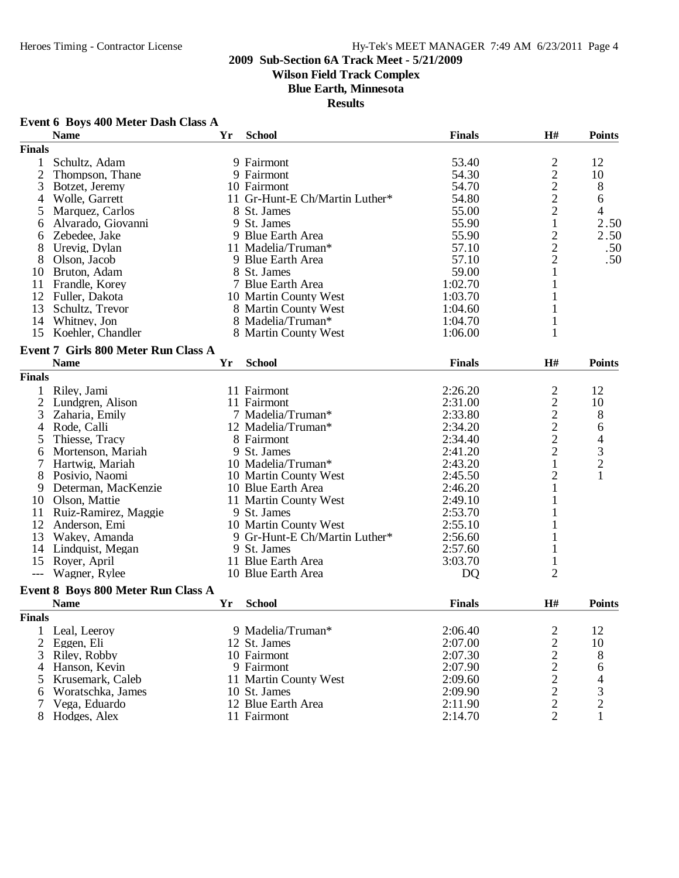# **Wilson Field Track Complex**

**Blue Earth, Minnesota**

| Event 6 Boys 400 Meter Dash Class A |  |  |  |  |  |  |
|-------------------------------------|--|--|--|--|--|--|
|-------------------------------------|--|--|--|--|--|--|

|                | Event 6 Boys 400 Meter Dash Class A        |    |                                |               |                                            |                                            |
|----------------|--------------------------------------------|----|--------------------------------|---------------|--------------------------------------------|--------------------------------------------|
|                | <b>Name</b>                                | Yr | <b>School</b>                  | <b>Finals</b> | H#                                         | <b>Points</b>                              |
| <b>Finals</b>  |                                            |    |                                |               |                                            |                                            |
| $\mathbf{1}$   | Schultz, Adam                              |    | 9 Fairmont                     | 53.40         |                                            | 12                                         |
| $\overline{2}$ | Thompson, Thane                            |    | 9 Fairmont                     | 54.30         | $\frac{2}{2}$                              | 10                                         |
| 3              | Botzet, Jeremy                             |    | 10 Fairmont                    | 54.70         |                                            | 8                                          |
| 4              | Wolle, Garrett                             |    | 11 Gr-Hunt-E Ch/Martin Luther* | 54.80         | $\overline{c}$                             | 6                                          |
| 5              | Marquez, Carlos                            |    | 8 St. James                    | 55.00         | $\overline{c}$                             | $\overline{4}$                             |
| 6              | Alvarado, Giovanni                         |    | 9 St. James                    | 55.90         | $\mathbf{1}$                               | 2.50                                       |
| 6              | Zebedee, Jake                              |    | 9 Blue Earth Area              | 55.90         |                                            | 2.50                                       |
| 8              | Urevig, Dylan                              |    | 11 Madelia/Truman*             | 57.10         | $\frac{2}{2}$                              | .50                                        |
| 8              | Olson, Jacob                               |    | 9 Blue Earth Area              | 57.10         |                                            | .50                                        |
|                | 10 Bruton, Adam                            |    | 8 St. James                    | 59.00         | $\mathbf{1}$                               |                                            |
| 11             | Frandle, Korey                             |    | 7 Blue Earth Area              | 1:02.70       | 1                                          |                                            |
|                | 12 Fuller, Dakota                          |    | 10 Martin County West          | 1:03.70       |                                            |                                            |
| 13             | Schultz, Trevor                            |    | 8 Martin County West           | 1:04.60       |                                            |                                            |
| 14             | Whitney, Jon                               |    | 8 Madelia/Truman*              | 1:04.70       | 1                                          |                                            |
| 15             | Koehler, Chandler                          |    | 8 Martin County West           | 1:06.00       | 1                                          |                                            |
|                | <b>Event 7 Girls 800 Meter Run Class A</b> |    |                                |               |                                            |                                            |
|                | <b>Name</b>                                | Yr | <b>School</b>                  | <b>Finals</b> | H#                                         | <b>Points</b>                              |
|                |                                            |    |                                |               |                                            |                                            |
| <b>Finals</b>  |                                            |    |                                |               |                                            |                                            |
| 1              | Riley, Jami                                |    | 11 Fairmont                    | 2:26.20       | $\overline{c}$                             | 12                                         |
|                | 2 Lundgren, Alison                         |    | 11 Fairmont                    | 2:31.00       |                                            | 10                                         |
| 3              | Zaharia, Emily                             |    | 7 Madelia/Truman*              | 2:33.80       | $\begin{array}{c} 2 \\ 2 \\ 2 \end{array}$ | 8                                          |
| 4              | Rode, Calli                                |    | 12 Madelia/Truman*             | 2:34.20       |                                            | 6                                          |
| 5              | Thiesse, Tracy                             |    | 8 Fairmont                     | 2:34.40       |                                            | $\begin{array}{c} 4 \\ 3 \\ 2 \end{array}$ |
| 6              | Mortenson, Mariah                          |    | 9 St. James                    | 2:41.20       | $\overline{c}$                             |                                            |
| 7              | Hartwig, Mariah                            |    | 10 Madelia/Truman*             | 2:43.20       | 1                                          |                                            |
| 8              | Posivio, Naomi                             |    | 10 Martin County West          | 2:45.50       | $\overline{c}$                             | $\mathbf{1}$                               |
| 9              | Determan, MacKenzie                        |    | 10 Blue Earth Area             | 2:46.20       | 1                                          |                                            |
| 10             | Olson, Mattie                              |    | 11 Martin County West          | 2:49.10       | 1                                          |                                            |
| 11             | Ruiz-Ramirez, Maggie                       |    | 9 St. James                    | 2:53.70       |                                            |                                            |
| 12             | Anderson, Emi                              |    | 10 Martin County West          | 2:55.10       |                                            |                                            |
| 13             | Wakey, Amanda                              |    | 9 Gr-Hunt-E Ch/Martin Luther*  | 2:56.60       |                                            |                                            |
|                | 14 Lindquist, Megan                        |    | 9 St. James                    | 2:57.60       |                                            |                                            |
|                | 15 Rover, April                            |    | 11 Blue Earth Area             | 3:03.70       |                                            |                                            |
| $---$          | Wagner, Rylee                              |    | 10 Blue Earth Area             | DQ            | $\overline{2}$                             |                                            |
|                | Event 8 Boys 800 Meter Run Class A         |    |                                |               |                                            |                                            |
|                | <b>Name</b>                                | Yr | <b>School</b>                  | <b>Finals</b> | H#                                         | <b>Points</b>                              |
| <b>Finals</b>  |                                            |    |                                |               |                                            |                                            |
| 1              | Leal, Leeroy                               |    | 9 Madelia/Truman*              | 2:06.40       | $\overline{\mathbf{c}}$                    | 12                                         |
| $\overline{2}$ | Eggen, Eli                                 |    | 12 St. James                   | 2:07.00       |                                            | 10                                         |
| 3              | Riley, Robby                               |    | 10 Fairmont                    | 2:07.30       |                                            |                                            |
| 4              | Hanson, Kevin                              |    | 9 Fairmont                     | 2:07.90       | $22222$<br>$222$                           | 8                                          |
| 5              | Krusemark, Caleb                           |    | 11 Martin County West          | 2:09.60       |                                            | 6                                          |
|                | Woratschka, James                          |    | 10 St. James                   | 2:09.90       |                                            | $\overline{4}$                             |
| 6              |                                            |    | 12 Blue Earth Area             | 2:11.90       |                                            | $\frac{3}{2}$                              |
|                | Vega, Eduardo                              |    |                                | 2:14.70       | $\overline{2}$                             |                                            |
|                | 8 Hodges, Alex                             |    | 11 Fairmont                    |               |                                            | $\mathbf{1}$                               |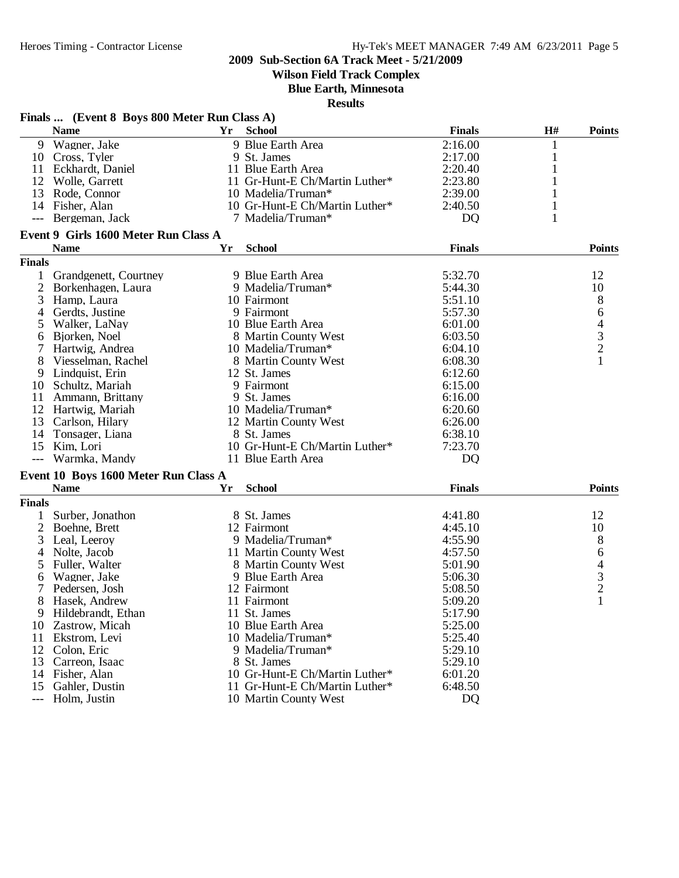**Wilson Field Track Complex**

**Blue Earth, Minnesota**

|               | Finals  (Event 8 Boys 800 Meter Run Class A) |    |                                |                |              |                                            |
|---------------|----------------------------------------------|----|--------------------------------|----------------|--------------|--------------------------------------------|
|               | <b>Name</b>                                  | Yr | <b>School</b>                  | <b>Finals</b>  | H#           | <b>Points</b>                              |
|               | 9 Wagner, Jake                               |    | 9 Blue Earth Area              | 2:16.00        | 1            |                                            |
|               | 10 Cross, Tyler                              |    | 9 St. James                    | 2:17.00        | $\mathbf{1}$ |                                            |
|               | 11 Eckhardt, Daniel                          |    | 11 Blue Earth Area             | 2:20.40        |              |                                            |
| 12            | Wolle, Garrett                               |    | 11 Gr-Hunt-E Ch/Martin Luther* | 2:23.80        |              |                                            |
| 13            | Rode, Connor                                 |    | 10 Madelia/Truman*             | 2:39.00        |              |                                            |
| 14            | Fisher, Alan                                 |    | 10 Gr-Hunt-E Ch/Martin Luther* | 2:40.50        |              |                                            |
| $---$         | Bergeman, Jack                               |    | 7 Madelia/Truman*              | <b>DQ</b>      | 1            |                                            |
|               | Event 9 Girls 1600 Meter Run Class A         |    |                                |                |              |                                            |
|               | <b>Name</b>                                  | Yr | <b>School</b>                  | <b>Finals</b>  |              | <b>Points</b>                              |
| <b>Finals</b> |                                              |    |                                |                |              |                                            |
| 1             | Grandgenett, Courtney                        |    | 9 Blue Earth Area              | 5:32.70        |              | 12                                         |
| 2             | Borkenhagen, Laura                           |    | 9 Madelia/Truman*              | 5:44.30        |              | 10                                         |
| 3             | Hamp, Laura                                  |    | 10 Fairmont                    | 5:51.10        |              | 8                                          |
| 4             | Gerdts, Justine                              |    | 9 Fairmont                     | 5:57.30        |              | 6                                          |
| 5             | Walker, LaNay                                |    | 10 Blue Earth Area             | 6:01.00        |              |                                            |
| 6             | Bjorken, Noel                                |    | 8 Martin County West           | 6:03.50        |              | $\begin{array}{c} 4 \\ 3 \\ 2 \end{array}$ |
|               | Hartwig, Andrea                              |    | 10 Madelia/Truman*             | 6:04.10        |              |                                            |
| 8             | Viesselman, Rachel                           |    | 8 Martin County West           | 6:08.30        |              | 1                                          |
| 9             | Lindquist, Erin                              |    | 12 St. James                   | 6:12.60        |              |                                            |
| 10            | Schultz, Mariah                              |    | 9 Fairmont                     | 6:15.00        |              |                                            |
| 11            | Ammann, Brittany                             |    | 9 St. James                    | 6:16.00        |              |                                            |
| 12            | Hartwig, Mariah                              |    | 10 Madelia/Truman*             | 6:20.60        |              |                                            |
| 13            | Carlson, Hilary                              |    | 12 Martin County West          | 6:26.00        |              |                                            |
| 14            | Tonsager, Liana                              |    | 8 St. James                    | 6:38.10        |              |                                            |
| 15            | Kim, Lori                                    |    | 10 Gr-Hunt-E Ch/Martin Luther* | 7:23.70        |              |                                            |
|               | Warmka, Mandy                                |    | 11 Blue Earth Area             | D <sub>Q</sub> |              |                                            |
|               | Event 10 Boys 1600 Meter Run Class A         |    |                                |                |              |                                            |
|               | <b>Name</b>                                  | Yr | <b>School</b>                  | <b>Finals</b>  |              | <b>Points</b>                              |
| <b>Finals</b> |                                              |    |                                |                |              |                                            |
| 1             | Surber, Jonathon                             |    | 8 St. James                    | 4:41.80        |              | 12                                         |
| 2             | Boehne, Brett                                |    | 12 Fairmont                    | 4:45.10        |              | 10                                         |
| 3             | Leal, Leeroy                                 |    | 9 Madelia/Truman*              | 4:55.90        |              | 8                                          |
| 4             | Nolte, Jacob                                 |    | 11 Martin County West          | 4:57.50        |              | 6                                          |
| 5             | Fuller, Walter                               |    | 8 Martin County West           | 5:01.90        |              |                                            |
| 6             | Wagner, Jake                                 |    | 9 Blue Earth Area              | 5:06.30        |              |                                            |
| 7             | Pedersen, Josh                               |    | 12 Fairmont                    | 5:08.50        |              | $\begin{array}{c} 4 \\ 3 \\ 2 \end{array}$ |
| 8             | Hasek, Andrew                                |    | 11 Fairmont                    | 5:09.20        |              | 1                                          |
| 9.            | Hildebrandt, Ethan                           |    | 11 St. James                   | 5:17.90        |              |                                            |
|               | 10 Zastrow, Micah                            |    | 10 Blue Earth Area             | 5:25.00        |              |                                            |
| 11            | Ekstrom, Levi                                |    | 10 Madelia/Truman*             | 5:25.40        |              |                                            |
|               | 12 Colon, Eric                               |    | 9 Madelia/Truman*              | 5:29.10        |              |                                            |
| 13            | Carreon, Isaac                               |    | 8 St. James                    | 5:29.10        |              |                                            |
|               |                                              |    | 10 Gr-Hunt-E Ch/Martin Luther* |                |              |                                            |
|               | 14 Fisher, Alan<br>Gahler, Dustin            |    | 11 Gr-Hunt-E Ch/Martin Luther* | 6:01.20        |              |                                            |
| 15            | Holm, Justin                                 |    |                                | 6:48.50        |              |                                            |
| $---$         |                                              |    | 10 Martin County West          | D <sub>Q</sub> |              |                                            |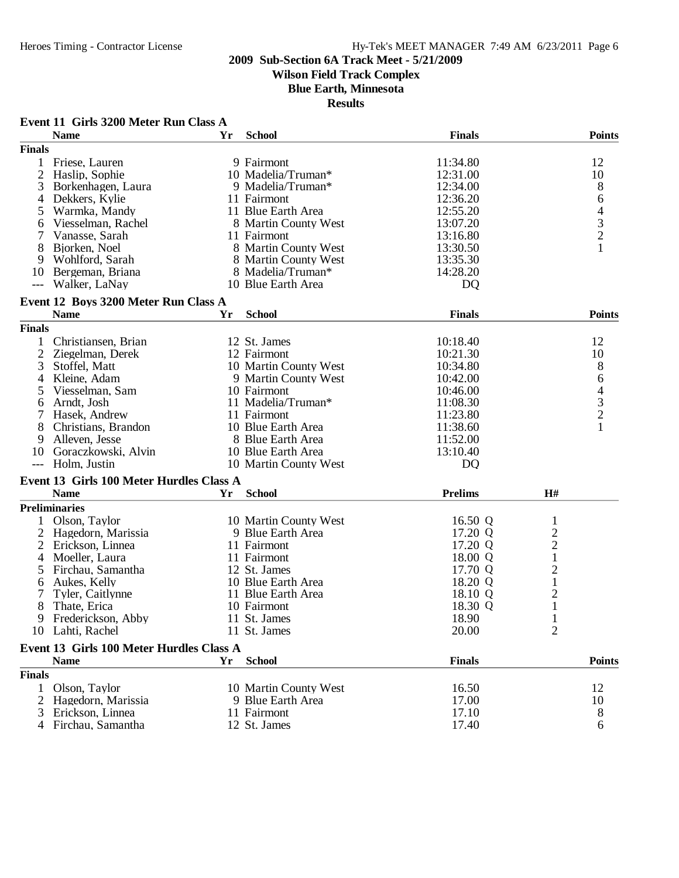# **Wilson Field Track Complex**

**Blue Earth, Minnesota**

|                     | Event 11 Girls 3200 Meter Run Class A    |    |                       |                |                         |                                            |
|---------------------|------------------------------------------|----|-----------------------|----------------|-------------------------|--------------------------------------------|
|                     | <b>Name</b>                              | Yr | <b>School</b>         | <b>Finals</b>  |                         | <b>Points</b>                              |
| <b>Finals</b>       |                                          |    |                       |                |                         |                                            |
| 1                   | Friese, Lauren                           |    | 9 Fairmont            | 11:34.80       |                         | 12                                         |
| 2                   | Haslip, Sophie                           |    | 10 Madelia/Truman*    | 12:31.00       |                         | 10                                         |
| 3                   | Borkenhagen, Laura                       |    | 9 Madelia/Truman*     | 12:34.00       |                         | 8                                          |
| 4                   | Dekkers, Kylie                           |    | 11 Fairmont           | 12:36.20       |                         | 6                                          |
| 5                   | Warmka, Mandy                            |    | 11 Blue Earth Area    | 12:55.20       |                         |                                            |
| 6                   | Viesselman, Rachel                       |    | 8 Martin County West  | 13:07.20       |                         | $\begin{array}{c} 4 \\ 3 \\ 2 \end{array}$ |
| 7                   | Vanasse, Sarah                           |    | 11 Fairmont           | 13:16.80       |                         |                                            |
| 8                   | Bjorken, Noel                            |    | 8 Martin County West  | 13:30.50       |                         | $\mathbf{1}$                               |
| 9                   | Wohlford, Sarah                          |    | 8 Martin County West  | 13:35.30       |                         |                                            |
| 10                  | Bergeman, Briana                         |    | 8 Madelia/Truman*     | 14:28.20       |                         |                                            |
| $\qquad \qquad - -$ | Walker, LaNay                            |    | 10 Blue Earth Area    | D <sub>Q</sub> |                         |                                            |
|                     |                                          |    |                       |                |                         |                                            |
|                     | Event 12 Boys 3200 Meter Run Class A     |    |                       |                |                         |                                            |
|                     | <b>Name</b>                              | Yr | <b>School</b>         | <b>Finals</b>  |                         | <b>Points</b>                              |
| <b>Finals</b>       |                                          |    |                       |                |                         |                                            |
|                     | Christiansen, Brian                      |    | 12 St. James          | 10:18.40       |                         | 12                                         |
| $\overline{2}$      | Ziegelman, Derek                         |    | 12 Fairmont           | 10:21.30       |                         | 10                                         |
| 3                   | Stoffel, Matt                            |    | 10 Martin County West | 10:34.80       |                         | 8                                          |
| 4                   | Kleine, Adam                             |    | 9 Martin County West  | 10:42.00       |                         | 6                                          |
| 5                   | Viesselman, Sam                          |    | 10 Fairmont           | 10:46.00       |                         |                                            |
| 6                   | Arndt, Josh                              |    | 11 Madelia/Truman*    | 11:08.30       |                         |                                            |
|                     | Hasek, Andrew                            |    | 11 Fairmont           | 11:23.80       |                         | $\begin{array}{c} 4 \\ 3 \\ 2 \end{array}$ |
| 8                   | Christians, Brandon                      |    | 10 Blue Earth Area    | 11:38.60       |                         | $\mathbf{1}$                               |
| 9                   | Alleven, Jesse                           |    | 8 Blue Earth Area     | 11:52.00       |                         |                                            |
| 10                  | Goraczkowski, Alvin                      |    | 10 Blue Earth Area    | 13:10.40       |                         |                                            |
|                     | Holm, Justin                             |    | 10 Martin County West | DQ             |                         |                                            |
|                     |                                          |    |                       |                |                         |                                            |
|                     | Event 13 Girls 100 Meter Hurdles Class A |    |                       |                |                         |                                            |
|                     | <b>Name</b>                              | Yr | <b>School</b>         | <b>Prelims</b> | H#                      |                                            |
|                     | <b>Preliminaries</b>                     |    |                       |                |                         |                                            |
|                     | Olson, Taylor                            |    | 10 Martin County West | 16.50 Q        | $\mathbf{1}$            |                                            |
| 2                   | Hagedorn, Marissia                       |    | 9 Blue Earth Area     | 17.20 Q        | $\overline{\mathbf{c}}$ |                                            |
| 2                   | Erickson, Linnea                         |    | 11 Fairmont           | 17.20 Q        | $\overline{c}$          |                                            |
| 4                   | Moeller, Laura                           |    | 11 Fairmont           | 18.00 Q        | $\mathbf{1}$            |                                            |
| 5                   | Firchau, Samantha                        |    | 12 St. James          | 17.70 Q        | $\overline{c}$          |                                            |
| 6                   | Aukes, Kelly                             |    | 10 Blue Earth Area    | 18.20 Q        | $\mathbf{1}$            |                                            |
|                     | Tyler, Caitlynne                         |    | 11 Blue Earth Area    | 18.10 Q        | $\overline{c}$          |                                            |
| 8                   | Thate, Erica                             |    | 10 Fairmont           | 18.30 Q        | $\mathbf{1}$            |                                            |
|                     | 9 Frederickson, Abby                     |    | 11 St. James          | 18.90          | $\mathbf{1}$            |                                            |
| 10                  | Lahti, Rachel                            |    | 11 St. James          | 20.00          | $\overline{2}$          |                                            |
|                     |                                          |    |                       |                |                         |                                            |
|                     | Event 13 Girls 100 Meter Hurdles Class A |    |                       |                |                         |                                            |
|                     | <b>Name</b>                              | Yr | <b>School</b>         | <b>Finals</b>  |                         | <b>Points</b>                              |
| <b>Finals</b>       |                                          |    |                       |                |                         |                                            |
| 1                   | Olson, Taylor                            |    | 10 Martin County West | 16.50          |                         | 12                                         |
| 2                   | Hagedorn, Marissia                       |    | 9 Blue Earth Area     | 17.00          |                         | 10                                         |
| 3                   | Erickson, Linnea                         |    | 11 Fairmont           | 17.10          |                         | 8                                          |
|                     | 4 Firchau, Samantha                      |    | 12 St. James          | 17.40          |                         | 6                                          |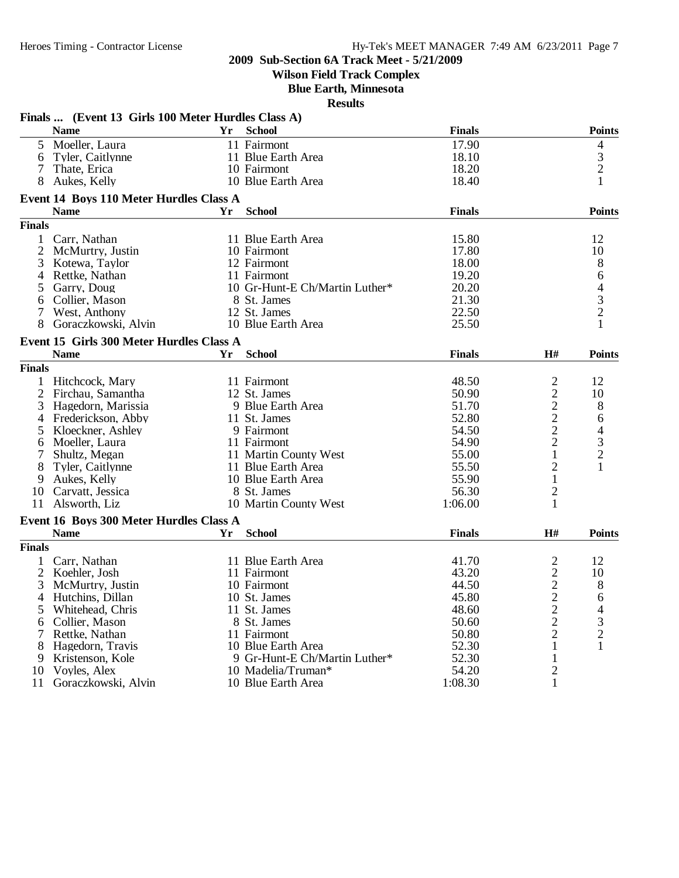**Wilson Field Track Complex**

**Blue Earth, Minnesota**

|               | Finals  (Event 13 Girls 100 Meter Hurdles Class A) |    |                                |               |                |                          |
|---------------|----------------------------------------------------|----|--------------------------------|---------------|----------------|--------------------------|
|               | <b>Name</b>                                        | Yr | <b>School</b>                  | <b>Finals</b> |                | <b>Points</b>            |
| 5.            | Moeller, Laura                                     |    | 11 Fairmont                    | 17.90         |                | 4                        |
| 6             | Tyler, Caitlynne                                   |    | 11 Blue Earth Area             | 18.10         |                | 3                        |
| 7             | Thate, Erica                                       |    | 10 Fairmont                    | 18.20         |                | $\overline{2}$           |
| 8             | Aukes, Kelly                                       |    | 10 Blue Earth Area             | 18.40         |                | 1                        |
|               | Event 14 Boys 110 Meter Hurdles Class A            |    |                                |               |                |                          |
|               | <b>Name</b>                                        | Yr | <b>School</b>                  | <b>Finals</b> |                | <b>Points</b>            |
| <b>Finals</b> |                                                    |    |                                |               |                |                          |
|               | 1 Carr, Nathan                                     |    | 11 Blue Earth Area             | 15.80         |                | 12                       |
|               | 2 McMurtry, Justin                                 |    | 10 Fairmont                    | 17.80         |                | 10                       |
| 3             | Kotewa, Taylor                                     |    | 12 Fairmont                    | 18.00         |                | 8                        |
|               | 4 Rettke, Nathan                                   |    | 11 Fairmont                    | 19.20         |                | 6                        |
| 5             | Garry, Doug                                        |    | 10 Gr-Hunt-E Ch/Martin Luther* | 20.20         |                | $\overline{\mathcal{L}}$ |
| 6             | Collier, Mason                                     |    | 8 St. James                    | 21.30         |                |                          |
| 7             | West, Anthony                                      |    | 12 St. James                   | 22.50         |                | $\frac{3}{2}$            |
| 8             | Goraczkowski, Alvin                                |    | 10 Blue Earth Area             | 25.50         |                | $\mathbf{1}$             |
|               |                                                    |    |                                |               |                |                          |
|               | Event 15 Girls 300 Meter Hurdles Class A           |    |                                |               |                |                          |
|               | <b>Name</b>                                        | Yr | <b>School</b>                  | <b>Finals</b> | $\mathbf{H}$ # | <b>Points</b>            |
| <b>Finals</b> |                                                    |    |                                |               |                |                          |
|               | 1 Hitchcock, Mary                                  |    | 11 Fairmont                    | 48.50         | $\overline{2}$ | 12                       |
|               | 2 Firchau, Samantha                                |    | 12 St. James                   | 50.90         | $\overline{c}$ | 10                       |
|               | 3 Hagedorn, Marissia                               |    | 9 Blue Earth Area              | 51.70         | $\overline{c}$ | 8                        |
|               | 4 Frederickson, Abby                               |    | 11 St. James                   | 52.80         | $\overline{c}$ | 6                        |
| 5             | Kloeckner, Ashley                                  |    | 9 Fairmont                     | 54.50         | $\overline{2}$ | $\overline{\mathcal{L}}$ |
| 6             | Moeller, Laura                                     |    | 11 Fairmont                    | 54.90         | $\overline{2}$ | 3                        |
| 7             | Shultz, Megan                                      |    | 11 Martin County West          | 55.00         | $\mathbf{1}$   | $\overline{2}$           |
| 8             | Tyler, Caitlynne                                   |    | 11 Blue Earth Area             | 55.50         | $\overline{2}$ | 1                        |
| 9             | Aukes, Kelly                                       |    | 10 Blue Earth Area             | 55.90         | 1              |                          |
|               | 10 Carvatt, Jessica                                |    | 8 St. James                    | 56.30         | $\overline{c}$ |                          |
|               | 11 Alsworth, Liz                                   |    | 10 Martin County West          | 1:06.00       | 1              |                          |
|               | Event 16 Boys 300 Meter Hurdles Class A            |    |                                |               |                |                          |
|               | <b>Name</b>                                        | Yr | <b>School</b>                  | <b>Finals</b> | H#             | <b>Points</b>            |
| <b>Finals</b> |                                                    |    |                                |               |                |                          |
| $\mathbf{1}$  | Carr, Nathan                                       |    | 11 Blue Earth Area             | 41.70         | $\overline{c}$ | 12                       |
|               | 2 Koehler, Josh                                    |    | 11 Fairmont                    | 43.20         | $\overline{c}$ | 10                       |
| 3             | McMurtry, Justin                                   |    | 10 Fairmont                    | 44.50         | $\overline{c}$ | 8                        |
|               | 4 Hutchins, Dillan                                 |    | 10 St. James                   | 45.80         | $\overline{c}$ | 6                        |
| 5             | Whitehead, Chris                                   |    | 11 St. James                   | 48.60         | $\overline{c}$ | 4                        |
| 6             | Collier, Mason                                     |    |                                | 50.60         | $\overline{2}$ | 3                        |
|               |                                                    |    | 8 St. James                    |               | $\overline{2}$ |                          |
| 7             | Rettke, Nathan                                     |    | 11 Fairmont                    | 50.80         |                | $\overline{c}$           |
| 8             | Hagedorn, Travis                                   |    | 10 Blue Earth Area             | 52.30         | 1              | 1                        |
| 9             | Kristenson, Kole                                   |    | 9 Gr-Hunt-E Ch/Martin Luther*  | 52.30         | $\mathbf{1}$   |                          |
| 10            | Voyles, Alex                                       |    | 10 Madelia/Truman*             | 54.20         | $\overline{2}$ |                          |
| 11            | Goraczkowski, Alvin                                |    | 10 Blue Earth Area             | 1:08.30       | 1              |                          |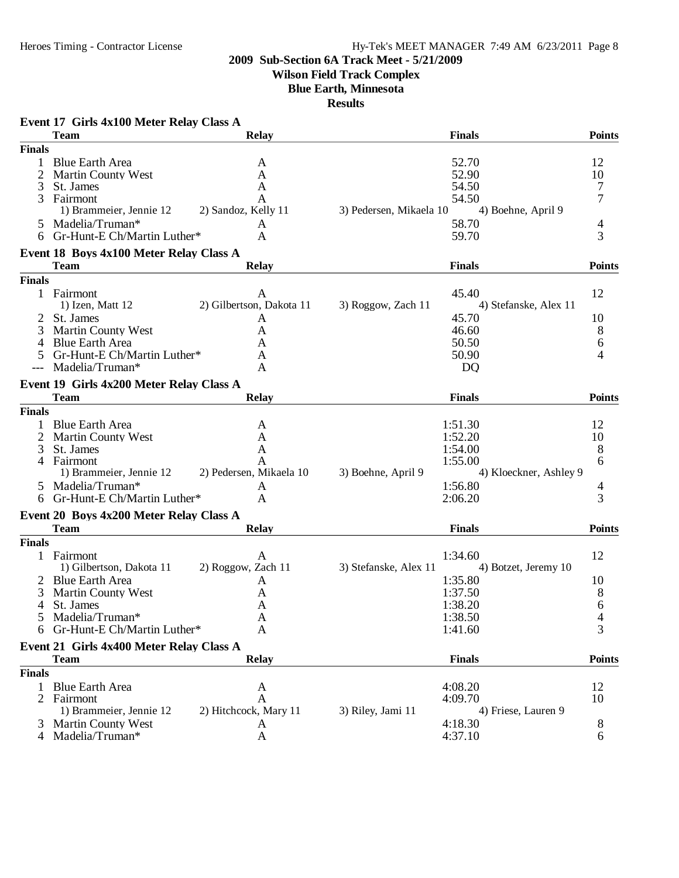**Wilson Field Track Complex**

**Blue Earth, Minnesota**

| Event 17 Girls 4x100 Meter Relay Class A                                  |                        |
|---------------------------------------------------------------------------|------------------------|
| <b>Team</b><br><b>Relay</b><br><b>Finals</b>                              | <b>Points</b>          |
| <b>Finals</b>                                                             |                        |
| <b>Blue Earth Area</b><br>52.70<br>$\mathbf{1}$<br>A                      | 12                     |
| 52.90<br><b>Martin County West</b><br>A                                   | 10                     |
| 54.50<br>3<br>St. James<br>A                                              | 7                      |
| Fairmont<br>54.50<br>3<br>A                                               | 7                      |
| 2) Sandoz, Kelly 11<br>3) Pedersen, Mikaela 10<br>1) Brammeier, Jennie 12 | 4) Boehne, April 9     |
| 5 Madelia/Truman*<br>58.70<br>A                                           | 4                      |
| Gr-Hunt-E Ch/Martin Luther*<br>59.70<br>A<br>6                            | 3                      |
| Event 18 Boys 4x100 Meter Relay Class A                                   |                        |
| <b>Finals</b><br>Team<br><b>Relay</b>                                     | <b>Points</b>          |
| <b>Finals</b>                                                             |                        |
| 1 Fairmont<br>45.40<br>A                                                  | 12                     |
| 2) Gilbertson, Dakota 11<br>3) Roggow, Zach 11<br>1) Izen, Matt 12        | 4) Stefanske, Alex 11  |
| 45.70<br>St. James<br>2<br>A                                              | 10                     |
| 3<br><b>Martin County West</b><br>46.60<br>A                              | 8                      |
| <b>Blue Earth Area</b><br>50.50<br>4<br>A                                 | 6                      |
| Gr-Hunt-E Ch/Martin Luther*<br>50.90<br>A<br>5                            | 4                      |
| Madelia/Truman*<br><b>DQ</b><br>A                                         |                        |
| Event 19 Girls 4x200 Meter Relay Class A                                  |                        |
| <b>Team</b><br><b>Relay</b><br><b>Finals</b>                              | <b>Points</b>          |
| <b>Finals</b>                                                             |                        |
| <b>Blue Earth Area</b><br>1:51.30<br>A                                    | 12                     |
| 2<br>1:52.20<br><b>Martin County West</b><br>A                            | 10                     |
| St. James<br>3<br>1:54.00<br>A                                            | 8                      |
| Fairmont<br>1:55.00<br>4<br>A                                             | 6                      |
| 2) Pedersen, Mikaela 10<br>1) Brammeier, Jennie 12<br>3) Boehne, April 9  | 4) Kloeckner, Ashley 9 |
| Madelia/Truman*<br>1:56.80<br>5<br>A                                      | 4                      |
| 6 Gr-Hunt-E Ch/Martin Luther*<br>2:06.20<br>A                             | 3                      |
|                                                                           |                        |
| Event 20 Boys 4x200 Meter Relay Class A                                   |                        |
| <b>Team</b><br><b>Relay</b><br><b>Finals</b>                              | <b>Points</b>          |
| <b>Finals</b>                                                             |                        |
| 1 Fairmont<br>1:34.60<br>A                                                | 12                     |
| 1) Gilbertson, Dakota 11<br>2) Roggow, Zach 11<br>3) Stefanske, Alex 11   | 4) Botzet, Jeremy 10   |
| 1:35.80<br>2 Blue Earth Area<br>A                                         | 10                     |
| <b>Martin County West</b><br>1:37.50<br>3<br>A                            | 8                      |
| 1:38.20<br>4<br>St. James<br>Α                                            | 6                      |
| 5 Madelia/Truman*<br>1:38.50<br>A                                         | 4                      |
| Gr-Hunt-E Ch/Martin Luther*<br>A<br>1:41.60<br>6                          | 3                      |
| Event 21 Girls 4x400 Meter Relay Class A                                  |                        |
| <b>Finals</b><br><b>Team</b><br><b>Relay</b>                              | <b>Points</b>          |
| <b>Finals</b>                                                             |                        |
| <b>Blue Earth Area</b><br>4:08.20<br>A<br>1.                              | 12                     |
| Fairmont<br>4:09.70<br>2<br>A                                             | 10                     |
| 2) Hitchcock, Mary 11<br>3) Riley, Jami 11<br>1) Brammeier, Jennie 12     | 4) Friese, Lauren 9    |
| <b>Martin County West</b><br>4:18.30<br>A                                 | 8                      |
| Madelia/Truman*<br>4:37.10<br>4<br>Α                                      | 6                      |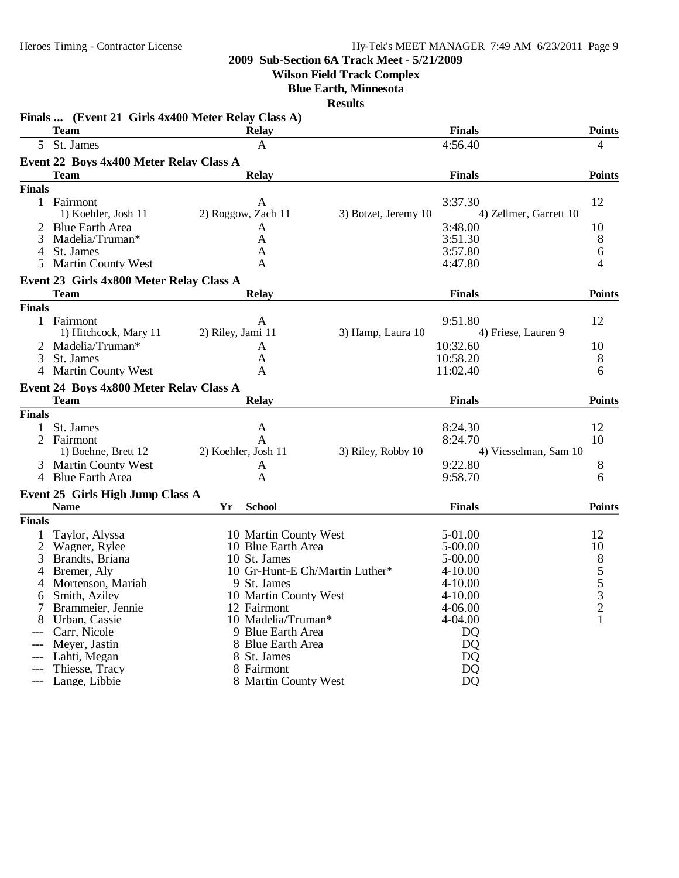# **Wilson Field Track Complex**

**Blue Earth, Minnesota**

|                | Finals  (Event 21 Girls 4x400 Meter Relay Class A)<br><b>Team</b> |                                |                      | <b>Finals</b>          | <b>Points</b>         |
|----------------|-------------------------------------------------------------------|--------------------------------|----------------------|------------------------|-----------------------|
|                | 5 St. James                                                       | <b>Relay</b><br>A              |                      | 4:56.40                | 4                     |
|                |                                                                   |                                |                      |                        |                       |
|                | Event 22 Boys 4x400 Meter Relay Class A                           |                                |                      |                        |                       |
|                | <b>Team</b>                                                       | <b>Relay</b>                   |                      | <b>Finals</b>          | <b>Points</b>         |
| <b>Finals</b>  |                                                                   |                                |                      |                        |                       |
| $\mathbf{1}$   | Fairmont                                                          | A                              |                      | 3:37.30                | 12                    |
|                | 1) Koehler, Josh 11                                               | 2) Roggow, Zach 11             | 3) Botzet, Jeremy 10 | 4) Zellmer, Garrett 10 |                       |
|                | <b>Blue Earth Area</b>                                            | A                              |                      | 3:48.00                | 10                    |
| 3              | Madelia/Truman*                                                   | A                              |                      | 3:51.30                | 8                     |
| 4              | St. James                                                         | A                              |                      | 3:57.80                | 6                     |
| 5              | <b>Martin County West</b>                                         | A                              |                      | 4:47.80                | 4                     |
|                | Event 23 Girls 4x800 Meter Relay Class A                          |                                |                      |                        |                       |
|                | Team                                                              | <b>Relay</b>                   |                      | <b>Finals</b>          | <b>Points</b>         |
| <b>Finals</b>  |                                                                   |                                |                      |                        |                       |
|                | 1 Fairmont                                                        | A                              |                      | 9:51.80                | 12                    |
|                | 1) Hitchcock, Mary 11                                             | 2) Riley, Jami 11              | 3) Hamp, Laura 10    | 4) Friese, Lauren 9    |                       |
| 2              | Madelia/Truman*                                                   | A                              |                      | 10:32.60               | 10                    |
| 3              | St. James                                                         | A                              |                      | 10:58.20               | 8                     |
| 4              | <b>Martin County West</b>                                         | A                              |                      | 11:02.40               | 6                     |
|                | Event 24 Boys 4x800 Meter Relay Class A                           |                                |                      |                        |                       |
|                | <b>Team</b>                                                       | <b>Relay</b>                   |                      | <b>Finals</b>          | <b>Points</b>         |
| <b>Finals</b>  |                                                                   |                                |                      |                        |                       |
| 1              | St. James                                                         | A                              |                      | 8:24.30                | 12                    |
| $\overline{2}$ | Fairmont                                                          | A                              |                      | 8:24.70                | 10                    |
|                | 1) Boehne, Brett 12                                               | 2) Koehler, Josh 11            | 3) Riley, Robby 10   |                        | 4) Viesselman, Sam 10 |
| 3              | <b>Martin County West</b>                                         | A                              |                      | 9:22.80                | 8                     |
|                | 4 Blue Earth Area                                                 | A                              |                      | 9:58.70                | 6                     |
|                |                                                                   |                                |                      |                        |                       |
|                | Event 25 Girls High Jump Class A                                  |                                |                      |                        |                       |
|                | <b>Name</b>                                                       | <b>School</b><br>Yr            |                      | <b>Finals</b>          | <b>Points</b>         |
| <b>Finals</b>  |                                                                   |                                |                      |                        |                       |
| 1              | Taylor, Alyssa                                                    | 10 Martin County West          |                      | 5-01.00                | 12                    |
| 2              | Wagner, Rylee                                                     | 10 Blue Earth Area             |                      | 5-00.00                | 10                    |
| 3              | Brandts, Briana                                                   | 10 St. James                   |                      | $5 - 00.00$            |                       |
| 4              | Bremer, Aly                                                       | 10 Gr-Hunt-E Ch/Martin Luther* |                      | $4 - 10.00$            | $\frac{8}{5}$ 5 3     |
|                | Mortenson, Mariah                                                 | 9 St. James                    |                      | $4 - 10.00$            |                       |
| 6              | Smith, Aziley                                                     | 10 Martin County West          |                      | $4 - 10.00$            |                       |
| Ί              | Brammeier, Jennie                                                 | 12 Fairmont                    |                      | 4-06.00                | $\overline{c}$        |
| 8              | Urban, Cassie                                                     | 10 Madelia/Truman*             |                      | 4-04.00                | 1                     |
|                | Carr, Nicole                                                      | 9 Blue Earth Area              |                      | D <sub>Q</sub>         |                       |
|                | Meyer, Jastin                                                     | 8 Blue Earth Area              |                      | D <sub>Q</sub>         |                       |
| $---$          | Lahti, Megan                                                      | 8 St. James                    |                      | DQ                     |                       |
|                | Thiesse, Tracy                                                    | 8 Fairmont                     |                      | DQ                     |                       |
|                | Lange, Libbie                                                     | 8 Martin County West           |                      | <b>DQ</b>              |                       |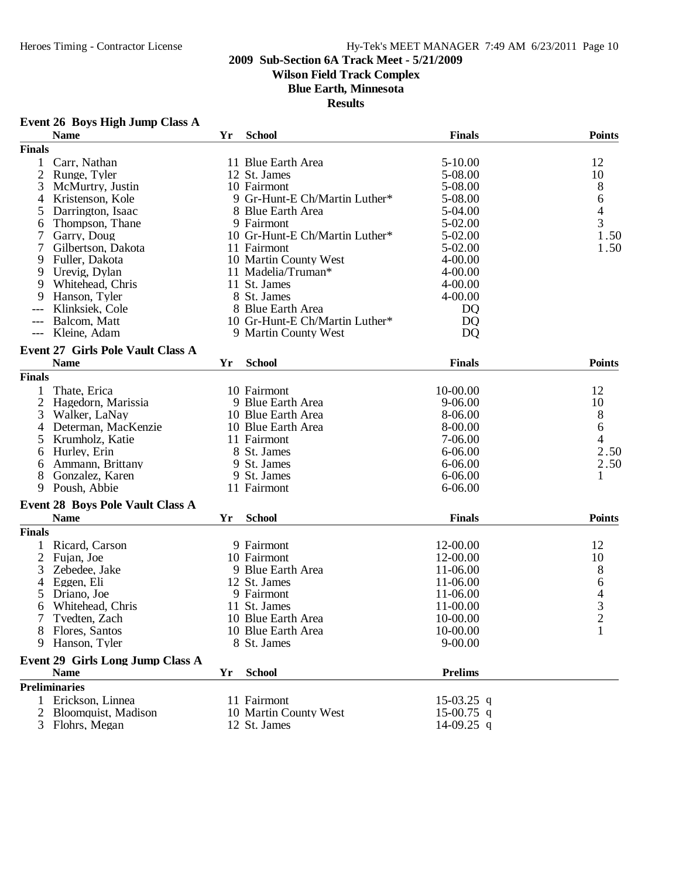**Wilson Field Track Complex**

**Blue Earth, Minnesota**

**Results**

|                | <b>Name</b>                              | Yr | <b>School</b>                  | <b>Finals</b>  | <b>Points</b>                              |
|----------------|------------------------------------------|----|--------------------------------|----------------|--------------------------------------------|
| <b>Finals</b>  |                                          |    |                                |                |                                            |
| 1              | Carr, Nathan                             |    | 11 Blue Earth Area             | $5 - 10.00$    | 12                                         |
| $\overline{2}$ | Runge, Tyler                             |    | 12 St. James                   | 5-08.00        | 10                                         |
| 3              | McMurtry, Justin                         |    | 10 Fairmont                    | 5-08.00        | 8                                          |
| 4              | Kristenson, Kole                         |    | 9 Gr-Hunt-E Ch/Martin Luther*  | 5-08.00        | 6                                          |
| 5              | Darrington, Isaac                        |    | 8 Blue Earth Area              | 5-04.00        | $\overline{\mathcal{L}}$                   |
| 6              | Thompson, Thane                          |    | 9 Fairmont                     | 5-02.00        | 3                                          |
| 7              | Garry, Doug                              |    | 10 Gr-Hunt-E Ch/Martin Luther* | 5-02.00        | 1.50                                       |
| 7              | Gilbertson, Dakota                       |    | 11 Fairmont                    | 5-02.00        | 1.50                                       |
| 9              | Fuller, Dakota                           |    | 10 Martin County West          | $4 - 00.00$    |                                            |
| 9              | Urevig, Dylan                            |    | 11 Madelia/Truman*             | $4 - 00.00$    |                                            |
| 9              | Whitehead, Chris                         |    | 11 St. James                   | $4 - 00.00$    |                                            |
| 9              | Hanson, Tyler                            |    | 8 St. James                    | $4 - 00.00$    |                                            |
|                | Klinksiek, Cole                          |    | 8 Blue Earth Area              | D <sub>Q</sub> |                                            |
|                | Balcom, Matt                             |    | 10 Gr-Hunt-E Ch/Martin Luther* | D <sub>Q</sub> |                                            |
| $--$           | Kleine, Adam                             |    | 9 Martin County West           | D <sub>Q</sub> |                                            |
|                | <b>Event 27 Girls Pole Vault Class A</b> |    |                                |                |                                            |
|                | <b>Name</b>                              | Yr | <b>School</b>                  | <b>Finals</b>  | <b>Points</b>                              |
| <b>Finals</b>  |                                          |    |                                |                |                                            |
| 1              | Thate, Erica                             |    | 10 Fairmont                    | 10-00.00       | 12                                         |
| $\overline{2}$ | Hagedorn, Marissia                       |    | 9 Blue Earth Area              | 9-06.00        | 10                                         |
| 3              | Walker, LaNay                            |    | 10 Blue Earth Area             | 8-06.00        | 8                                          |
| 4              | Determan, MacKenzie                      |    | 10 Blue Earth Area             | 8-00.00        | 6                                          |
| 5              | Krumholz, Katie                          |    | 11 Fairmont                    | 7-06.00        | 4                                          |
| 6              | Hurley, Erin                             |    | 8 St. James                    | $6 - 06.00$    | 2.50                                       |
| 6              | Ammann, Brittany                         |    | 9 St. James                    | 6-06.00        | 2.50                                       |
| 8              | Gonzalez, Karen                          |    | 9 St. James                    | $6 - 06.00$    | $\mathbf{1}$                               |
| 9              | Poush, Abbie                             |    | 11 Fairmont                    | 6-06.00        |                                            |
|                | <b>Event 28 Boys Pole Vault Class A</b>  |    |                                |                |                                            |
|                | <b>Name</b>                              | Yr | <b>School</b>                  | <b>Finals</b>  | <b>Points</b>                              |
| <b>Finals</b>  |                                          |    |                                |                |                                            |
| 1              | Ricard, Carson                           |    | 9 Fairmont                     | 12-00.00       | 12                                         |
| 2              | Fujan, Joe                               |    | 10 Fairmont                    | 12-00.00       | 10                                         |
| 3              | Zebedee, Jake                            |    | 9 Blue Earth Area              | 11-06.00       | 8                                          |
| 4              | Eggen, Eli                               |    | 12 St. James                   | 11-06.00       | 6                                          |
| 5              | Driano, Joe                              |    | 9 Fairmont                     | 11-06.00       |                                            |
| 6              | Whitehead, Chris                         |    | 11 St. James                   | 11-00.00       |                                            |
|                | Tvedten, Zach                            |    | 10 Blue Earth Area             | 10-00.00       | $\begin{array}{c} 4 \\ 3 \\ 2 \end{array}$ |
|                | 8 Flores, Santos                         |    | 10 Blue Earth Area             | 10-00.00       | $\mathbf{1}$                               |
| 9              | Hanson, Tyler                            |    | 8 St. James                    | $9 - 00.00$    |                                            |
|                |                                          |    |                                |                |                                            |
|                | Event 29 Girls Long Jump Class A         |    |                                | <b>Prelims</b> |                                            |
|                | <b>Name</b><br><b>Preliminaries</b>      | Yr | <b>School</b>                  |                |                                            |
|                |                                          |    |                                |                |                                            |
|                | 1 Erickson, Linnea                       |    | 11 Fairmont                    | 15-03.25 q     |                                            |
|                | 2 Bloomquist, Madison                    |    | 10 Martin County West          | $15-00.75$ q   |                                            |
|                | 3 Flohrs, Megan                          |    | 12 St. James                   | 14-09.25 q     |                                            |

# **Event 26 Boys High Jump Class A**

3 Flohrs, Megan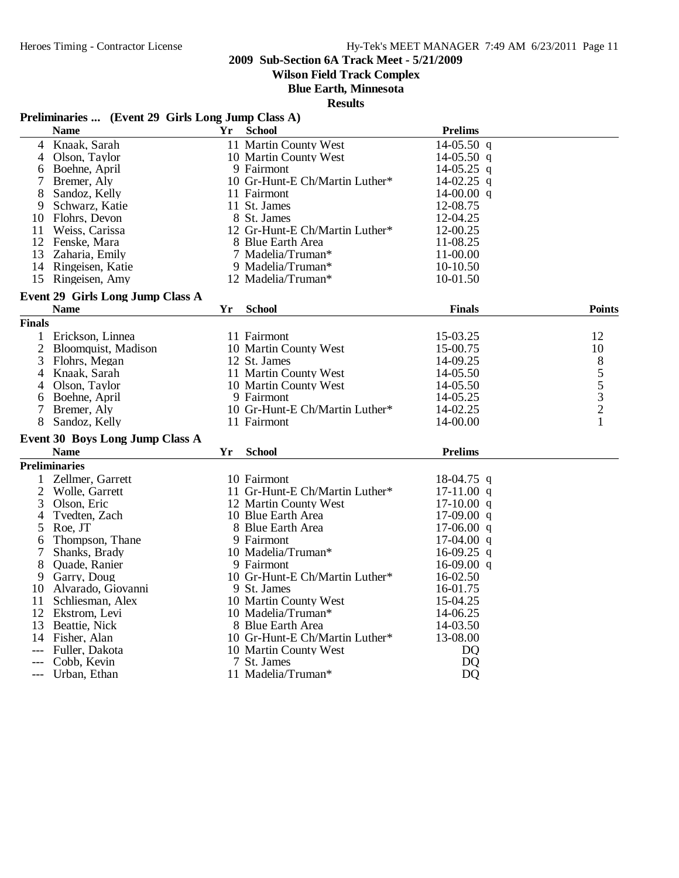**Wilson Field Track Complex**

**Blue Earth, Minnesota**

**Results**

# **Preliminaries ... (Event 29 Girls Long Jump Class A)**

| 11 Martin County West<br>$14-05.50$ q<br>Knaak, Sarah<br>4<br>Olson, Taylor<br>10 Martin County West<br>$14-05.50$ q<br>4<br>Boehne, April<br>9 Fairmont<br>14-05.25 q<br>6<br>7<br>Bremer, Aly<br>10 Gr-Hunt-E Ch/Martin Luther*<br>$14-02.25$ q<br>11 Fairmont<br>8<br>Sandoz, Kelly<br>14-00.00 $q$<br>11 St. James<br>Schwarz, Katie<br>12-08.75<br>9<br>12-04.25<br>Flohrs, Devon<br>8 St. James<br>10<br>11<br>Weiss, Carissa<br>12 Gr-Hunt-E Ch/Martin Luther*<br>12-00.25<br>12 Fenske, Mara<br>8 Blue Earth Area<br>11-08.25<br>13<br>Zaharia, Emily<br>7 Madelia/Truman*<br>11-00.00<br>9 Madelia/Truman*<br>10-10.50<br>14<br>Ringeisen, Katie<br>10-01.50<br>15 Ringeisen, Amy<br>12 Madelia/Truman*<br>Event 29 Girls Long Jump Class A<br><b>Name</b><br><b>School</b><br><b>Finals</b><br><b>Points</b><br>Yr<br><b>Finals</b><br>Erickson, Linnea<br>11 Fairmont<br>15-03.25<br>12<br>1<br>$\mathfrak{2}$<br>10<br>Bloomquist, Madison<br>10 Martin County West<br>15-00.75<br>3<br>8<br>Flohrs, Megan<br>12 St. James<br>14-09.25<br>$\begin{array}{c} 5 \\ 5 \\ 3 \\ 2 \end{array}$<br>11 Martin County West<br>Knaak, Sarah<br>14-05.50<br>4<br>14-05.50<br>Olson, Taylor<br>10 Martin County West<br>4<br>Boehne, April<br>9 Fairmont<br>14-05.25<br>6<br>10 Gr-Hunt-E Ch/Martin Luther*<br>7<br>Bremer, Aly<br>14-02.25<br>$\mathbf{1}$<br>11 Fairmont<br>14-00.00<br>8<br>Sandoz, Kelly<br>Event 30 Boys Long Jump Class A<br><b>School</b><br><b>Prelims</b><br><b>Name</b><br>Yr<br><b>Preliminaries</b><br>Zellmer, Garrett<br>10 Fairmont<br>$18-04.75$ q<br>1<br>$\overline{2}$<br>11 Gr-Hunt-E Ch/Martin Luther*<br>Wolle, Garrett<br>$17-11.00$ q<br>3<br>Olson, Eric<br>12 Martin County West<br>$17-10.00$ q<br>Tvedten, Zach<br>10 Blue Earth Area<br>$17-09.00$ q<br>4<br>5<br>Roe, JT<br>8 Blue Earth Area<br>$17-06.00$ q<br>Thompson, Thane<br>9 Fairmont<br>$17-04.00$ q<br>6<br>7<br>Shanks, Brady<br>10 Madelia/Truman*<br>$16-09.25$ q<br>8<br>Quade, Ranier<br>9 Fairmont<br>$16-09.00$ q<br>10 Gr-Hunt-E Ch/Martin Luther*<br>16-02.50<br>Garry, Doug<br>9<br>Alvarado, Giovanni<br>9 St. James<br>16-01.75<br>10<br>11<br>10 Martin County West<br>15-04.25<br>Schliesman, Alex<br>12 Ekstrom, Levi<br>10 Madelia/Truman*<br>14-06.25<br>13<br>Beattie, Nick<br>8 Blue Earth Area<br>14-03.50<br>10 Gr-Hunt-E Ch/Martin Luther*<br>13-08.00<br>14<br>Fisher, Alan<br>Fuller, Dakota<br>10 Martin County West<br>DQ<br>Cobb, Kevin<br>7 St. James<br>DO<br>Urban, Ethan<br>11 Madelia/Truman*<br>DQ<br>--- | <b>Name</b> | Yr | <b>School</b> | <b>Prelims</b> |  |
|------------------------------------------------------------------------------------------------------------------------------------------------------------------------------------------------------------------------------------------------------------------------------------------------------------------------------------------------------------------------------------------------------------------------------------------------------------------------------------------------------------------------------------------------------------------------------------------------------------------------------------------------------------------------------------------------------------------------------------------------------------------------------------------------------------------------------------------------------------------------------------------------------------------------------------------------------------------------------------------------------------------------------------------------------------------------------------------------------------------------------------------------------------------------------------------------------------------------------------------------------------------------------------------------------------------------------------------------------------------------------------------------------------------------------------------------------------------------------------------------------------------------------------------------------------------------------------------------------------------------------------------------------------------------------------------------------------------------------------------------------------------------------------------------------------------------------------------------------------------------------------------------------------------------------------------------------------------------------------------------------------------------------------------------------------------------------------------------------------------------------------------------------------------------------------------------------------------------------------------------------------------------------------------------------------------------------------------------------------------------------------------------------------------------------------------------------------------------------------------------------------------------------------------------------|-------------|----|---------------|----------------|--|
|                                                                                                                                                                                                                                                                                                                                                                                                                                                                                                                                                                                                                                                                                                                                                                                                                                                                                                                                                                                                                                                                                                                                                                                                                                                                                                                                                                                                                                                                                                                                                                                                                                                                                                                                                                                                                                                                                                                                                                                                                                                                                                                                                                                                                                                                                                                                                                                                                                                                                                                                                      |             |    |               |                |  |
|                                                                                                                                                                                                                                                                                                                                                                                                                                                                                                                                                                                                                                                                                                                                                                                                                                                                                                                                                                                                                                                                                                                                                                                                                                                                                                                                                                                                                                                                                                                                                                                                                                                                                                                                                                                                                                                                                                                                                                                                                                                                                                                                                                                                                                                                                                                                                                                                                                                                                                                                                      |             |    |               |                |  |
|                                                                                                                                                                                                                                                                                                                                                                                                                                                                                                                                                                                                                                                                                                                                                                                                                                                                                                                                                                                                                                                                                                                                                                                                                                                                                                                                                                                                                                                                                                                                                                                                                                                                                                                                                                                                                                                                                                                                                                                                                                                                                                                                                                                                                                                                                                                                                                                                                                                                                                                                                      |             |    |               |                |  |
|                                                                                                                                                                                                                                                                                                                                                                                                                                                                                                                                                                                                                                                                                                                                                                                                                                                                                                                                                                                                                                                                                                                                                                                                                                                                                                                                                                                                                                                                                                                                                                                                                                                                                                                                                                                                                                                                                                                                                                                                                                                                                                                                                                                                                                                                                                                                                                                                                                                                                                                                                      |             |    |               |                |  |
|                                                                                                                                                                                                                                                                                                                                                                                                                                                                                                                                                                                                                                                                                                                                                                                                                                                                                                                                                                                                                                                                                                                                                                                                                                                                                                                                                                                                                                                                                                                                                                                                                                                                                                                                                                                                                                                                                                                                                                                                                                                                                                                                                                                                                                                                                                                                                                                                                                                                                                                                                      |             |    |               |                |  |
|                                                                                                                                                                                                                                                                                                                                                                                                                                                                                                                                                                                                                                                                                                                                                                                                                                                                                                                                                                                                                                                                                                                                                                                                                                                                                                                                                                                                                                                                                                                                                                                                                                                                                                                                                                                                                                                                                                                                                                                                                                                                                                                                                                                                                                                                                                                                                                                                                                                                                                                                                      |             |    |               |                |  |
|                                                                                                                                                                                                                                                                                                                                                                                                                                                                                                                                                                                                                                                                                                                                                                                                                                                                                                                                                                                                                                                                                                                                                                                                                                                                                                                                                                                                                                                                                                                                                                                                                                                                                                                                                                                                                                                                                                                                                                                                                                                                                                                                                                                                                                                                                                                                                                                                                                                                                                                                                      |             |    |               |                |  |
|                                                                                                                                                                                                                                                                                                                                                                                                                                                                                                                                                                                                                                                                                                                                                                                                                                                                                                                                                                                                                                                                                                                                                                                                                                                                                                                                                                                                                                                                                                                                                                                                                                                                                                                                                                                                                                                                                                                                                                                                                                                                                                                                                                                                                                                                                                                                                                                                                                                                                                                                                      |             |    |               |                |  |
|                                                                                                                                                                                                                                                                                                                                                                                                                                                                                                                                                                                                                                                                                                                                                                                                                                                                                                                                                                                                                                                                                                                                                                                                                                                                                                                                                                                                                                                                                                                                                                                                                                                                                                                                                                                                                                                                                                                                                                                                                                                                                                                                                                                                                                                                                                                                                                                                                                                                                                                                                      |             |    |               |                |  |
|                                                                                                                                                                                                                                                                                                                                                                                                                                                                                                                                                                                                                                                                                                                                                                                                                                                                                                                                                                                                                                                                                                                                                                                                                                                                                                                                                                                                                                                                                                                                                                                                                                                                                                                                                                                                                                                                                                                                                                                                                                                                                                                                                                                                                                                                                                                                                                                                                                                                                                                                                      |             |    |               |                |  |
|                                                                                                                                                                                                                                                                                                                                                                                                                                                                                                                                                                                                                                                                                                                                                                                                                                                                                                                                                                                                                                                                                                                                                                                                                                                                                                                                                                                                                                                                                                                                                                                                                                                                                                                                                                                                                                                                                                                                                                                                                                                                                                                                                                                                                                                                                                                                                                                                                                                                                                                                                      |             |    |               |                |  |
|                                                                                                                                                                                                                                                                                                                                                                                                                                                                                                                                                                                                                                                                                                                                                                                                                                                                                                                                                                                                                                                                                                                                                                                                                                                                                                                                                                                                                                                                                                                                                                                                                                                                                                                                                                                                                                                                                                                                                                                                                                                                                                                                                                                                                                                                                                                                                                                                                                                                                                                                                      |             |    |               |                |  |
|                                                                                                                                                                                                                                                                                                                                                                                                                                                                                                                                                                                                                                                                                                                                                                                                                                                                                                                                                                                                                                                                                                                                                                                                                                                                                                                                                                                                                                                                                                                                                                                                                                                                                                                                                                                                                                                                                                                                                                                                                                                                                                                                                                                                                                                                                                                                                                                                                                                                                                                                                      |             |    |               |                |  |
|                                                                                                                                                                                                                                                                                                                                                                                                                                                                                                                                                                                                                                                                                                                                                                                                                                                                                                                                                                                                                                                                                                                                                                                                                                                                                                                                                                                                                                                                                                                                                                                                                                                                                                                                                                                                                                                                                                                                                                                                                                                                                                                                                                                                                                                                                                                                                                                                                                                                                                                                                      |             |    |               |                |  |
|                                                                                                                                                                                                                                                                                                                                                                                                                                                                                                                                                                                                                                                                                                                                                                                                                                                                                                                                                                                                                                                                                                                                                                                                                                                                                                                                                                                                                                                                                                                                                                                                                                                                                                                                                                                                                                                                                                                                                                                                                                                                                                                                                                                                                                                                                                                                                                                                                                                                                                                                                      |             |    |               |                |  |
|                                                                                                                                                                                                                                                                                                                                                                                                                                                                                                                                                                                                                                                                                                                                                                                                                                                                                                                                                                                                                                                                                                                                                                                                                                                                                                                                                                                                                                                                                                                                                                                                                                                                                                                                                                                                                                                                                                                                                                                                                                                                                                                                                                                                                                                                                                                                                                                                                                                                                                                                                      |             |    |               |                |  |
|                                                                                                                                                                                                                                                                                                                                                                                                                                                                                                                                                                                                                                                                                                                                                                                                                                                                                                                                                                                                                                                                                                                                                                                                                                                                                                                                                                                                                                                                                                                                                                                                                                                                                                                                                                                                                                                                                                                                                                                                                                                                                                                                                                                                                                                                                                                                                                                                                                                                                                                                                      |             |    |               |                |  |
|                                                                                                                                                                                                                                                                                                                                                                                                                                                                                                                                                                                                                                                                                                                                                                                                                                                                                                                                                                                                                                                                                                                                                                                                                                                                                                                                                                                                                                                                                                                                                                                                                                                                                                                                                                                                                                                                                                                                                                                                                                                                                                                                                                                                                                                                                                                                                                                                                                                                                                                                                      |             |    |               |                |  |
|                                                                                                                                                                                                                                                                                                                                                                                                                                                                                                                                                                                                                                                                                                                                                                                                                                                                                                                                                                                                                                                                                                                                                                                                                                                                                                                                                                                                                                                                                                                                                                                                                                                                                                                                                                                                                                                                                                                                                                                                                                                                                                                                                                                                                                                                                                                                                                                                                                                                                                                                                      |             |    |               |                |  |
|                                                                                                                                                                                                                                                                                                                                                                                                                                                                                                                                                                                                                                                                                                                                                                                                                                                                                                                                                                                                                                                                                                                                                                                                                                                                                                                                                                                                                                                                                                                                                                                                                                                                                                                                                                                                                                                                                                                                                                                                                                                                                                                                                                                                                                                                                                                                                                                                                                                                                                                                                      |             |    |               |                |  |
|                                                                                                                                                                                                                                                                                                                                                                                                                                                                                                                                                                                                                                                                                                                                                                                                                                                                                                                                                                                                                                                                                                                                                                                                                                                                                                                                                                                                                                                                                                                                                                                                                                                                                                                                                                                                                                                                                                                                                                                                                                                                                                                                                                                                                                                                                                                                                                                                                                                                                                                                                      |             |    |               |                |  |
|                                                                                                                                                                                                                                                                                                                                                                                                                                                                                                                                                                                                                                                                                                                                                                                                                                                                                                                                                                                                                                                                                                                                                                                                                                                                                                                                                                                                                                                                                                                                                                                                                                                                                                                                                                                                                                                                                                                                                                                                                                                                                                                                                                                                                                                                                                                                                                                                                                                                                                                                                      |             |    |               |                |  |
|                                                                                                                                                                                                                                                                                                                                                                                                                                                                                                                                                                                                                                                                                                                                                                                                                                                                                                                                                                                                                                                                                                                                                                                                                                                                                                                                                                                                                                                                                                                                                                                                                                                                                                                                                                                                                                                                                                                                                                                                                                                                                                                                                                                                                                                                                                                                                                                                                                                                                                                                                      |             |    |               |                |  |
|                                                                                                                                                                                                                                                                                                                                                                                                                                                                                                                                                                                                                                                                                                                                                                                                                                                                                                                                                                                                                                                                                                                                                                                                                                                                                                                                                                                                                                                                                                                                                                                                                                                                                                                                                                                                                                                                                                                                                                                                                                                                                                                                                                                                                                                                                                                                                                                                                                                                                                                                                      |             |    |               |                |  |
|                                                                                                                                                                                                                                                                                                                                                                                                                                                                                                                                                                                                                                                                                                                                                                                                                                                                                                                                                                                                                                                                                                                                                                                                                                                                                                                                                                                                                                                                                                                                                                                                                                                                                                                                                                                                                                                                                                                                                                                                                                                                                                                                                                                                                                                                                                                                                                                                                                                                                                                                                      |             |    |               |                |  |
|                                                                                                                                                                                                                                                                                                                                                                                                                                                                                                                                                                                                                                                                                                                                                                                                                                                                                                                                                                                                                                                                                                                                                                                                                                                                                                                                                                                                                                                                                                                                                                                                                                                                                                                                                                                                                                                                                                                                                                                                                                                                                                                                                                                                                                                                                                                                                                                                                                                                                                                                                      |             |    |               |                |  |
|                                                                                                                                                                                                                                                                                                                                                                                                                                                                                                                                                                                                                                                                                                                                                                                                                                                                                                                                                                                                                                                                                                                                                                                                                                                                                                                                                                                                                                                                                                                                                                                                                                                                                                                                                                                                                                                                                                                                                                                                                                                                                                                                                                                                                                                                                                                                                                                                                                                                                                                                                      |             |    |               |                |  |
|                                                                                                                                                                                                                                                                                                                                                                                                                                                                                                                                                                                                                                                                                                                                                                                                                                                                                                                                                                                                                                                                                                                                                                                                                                                                                                                                                                                                                                                                                                                                                                                                                                                                                                                                                                                                                                                                                                                                                                                                                                                                                                                                                                                                                                                                                                                                                                                                                                                                                                                                                      |             |    |               |                |  |
|                                                                                                                                                                                                                                                                                                                                                                                                                                                                                                                                                                                                                                                                                                                                                                                                                                                                                                                                                                                                                                                                                                                                                                                                                                                                                                                                                                                                                                                                                                                                                                                                                                                                                                                                                                                                                                                                                                                                                                                                                                                                                                                                                                                                                                                                                                                                                                                                                                                                                                                                                      |             |    |               |                |  |
|                                                                                                                                                                                                                                                                                                                                                                                                                                                                                                                                                                                                                                                                                                                                                                                                                                                                                                                                                                                                                                                                                                                                                                                                                                                                                                                                                                                                                                                                                                                                                                                                                                                                                                                                                                                                                                                                                                                                                                                                                                                                                                                                                                                                                                                                                                                                                                                                                                                                                                                                                      |             |    |               |                |  |
|                                                                                                                                                                                                                                                                                                                                                                                                                                                                                                                                                                                                                                                                                                                                                                                                                                                                                                                                                                                                                                                                                                                                                                                                                                                                                                                                                                                                                                                                                                                                                                                                                                                                                                                                                                                                                                                                                                                                                                                                                                                                                                                                                                                                                                                                                                                                                                                                                                                                                                                                                      |             |    |               |                |  |
|                                                                                                                                                                                                                                                                                                                                                                                                                                                                                                                                                                                                                                                                                                                                                                                                                                                                                                                                                                                                                                                                                                                                                                                                                                                                                                                                                                                                                                                                                                                                                                                                                                                                                                                                                                                                                                                                                                                                                                                                                                                                                                                                                                                                                                                                                                                                                                                                                                                                                                                                                      |             |    |               |                |  |
|                                                                                                                                                                                                                                                                                                                                                                                                                                                                                                                                                                                                                                                                                                                                                                                                                                                                                                                                                                                                                                                                                                                                                                                                                                                                                                                                                                                                                                                                                                                                                                                                                                                                                                                                                                                                                                                                                                                                                                                                                                                                                                                                                                                                                                                                                                                                                                                                                                                                                                                                                      |             |    |               |                |  |
|                                                                                                                                                                                                                                                                                                                                                                                                                                                                                                                                                                                                                                                                                                                                                                                                                                                                                                                                                                                                                                                                                                                                                                                                                                                                                                                                                                                                                                                                                                                                                                                                                                                                                                                                                                                                                                                                                                                                                                                                                                                                                                                                                                                                                                                                                                                                                                                                                                                                                                                                                      |             |    |               |                |  |
|                                                                                                                                                                                                                                                                                                                                                                                                                                                                                                                                                                                                                                                                                                                                                                                                                                                                                                                                                                                                                                                                                                                                                                                                                                                                                                                                                                                                                                                                                                                                                                                                                                                                                                                                                                                                                                                                                                                                                                                                                                                                                                                                                                                                                                                                                                                                                                                                                                                                                                                                                      |             |    |               |                |  |
|                                                                                                                                                                                                                                                                                                                                                                                                                                                                                                                                                                                                                                                                                                                                                                                                                                                                                                                                                                                                                                                                                                                                                                                                                                                                                                                                                                                                                                                                                                                                                                                                                                                                                                                                                                                                                                                                                                                                                                                                                                                                                                                                                                                                                                                                                                                                                                                                                                                                                                                                                      |             |    |               |                |  |
|                                                                                                                                                                                                                                                                                                                                                                                                                                                                                                                                                                                                                                                                                                                                                                                                                                                                                                                                                                                                                                                                                                                                                                                                                                                                                                                                                                                                                                                                                                                                                                                                                                                                                                                                                                                                                                                                                                                                                                                                                                                                                                                                                                                                                                                                                                                                                                                                                                                                                                                                                      |             |    |               |                |  |
|                                                                                                                                                                                                                                                                                                                                                                                                                                                                                                                                                                                                                                                                                                                                                                                                                                                                                                                                                                                                                                                                                                                                                                                                                                                                                                                                                                                                                                                                                                                                                                                                                                                                                                                                                                                                                                                                                                                                                                                                                                                                                                                                                                                                                                                                                                                                                                                                                                                                                                                                                      |             |    |               |                |  |
|                                                                                                                                                                                                                                                                                                                                                                                                                                                                                                                                                                                                                                                                                                                                                                                                                                                                                                                                                                                                                                                                                                                                                                                                                                                                                                                                                                                                                                                                                                                                                                                                                                                                                                                                                                                                                                                                                                                                                                                                                                                                                                                                                                                                                                                                                                                                                                                                                                                                                                                                                      |             |    |               |                |  |
|                                                                                                                                                                                                                                                                                                                                                                                                                                                                                                                                                                                                                                                                                                                                                                                                                                                                                                                                                                                                                                                                                                                                                                                                                                                                                                                                                                                                                                                                                                                                                                                                                                                                                                                                                                                                                                                                                                                                                                                                                                                                                                                                                                                                                                                                                                                                                                                                                                                                                                                                                      |             |    |               |                |  |
|                                                                                                                                                                                                                                                                                                                                                                                                                                                                                                                                                                                                                                                                                                                                                                                                                                                                                                                                                                                                                                                                                                                                                                                                                                                                                                                                                                                                                                                                                                                                                                                                                                                                                                                                                                                                                                                                                                                                                                                                                                                                                                                                                                                                                                                                                                                                                                                                                                                                                                                                                      |             |    |               |                |  |
|                                                                                                                                                                                                                                                                                                                                                                                                                                                                                                                                                                                                                                                                                                                                                                                                                                                                                                                                                                                                                                                                                                                                                                                                                                                                                                                                                                                                                                                                                                                                                                                                                                                                                                                                                                                                                                                                                                                                                                                                                                                                                                                                                                                                                                                                                                                                                                                                                                                                                                                                                      |             |    |               |                |  |
|                                                                                                                                                                                                                                                                                                                                                                                                                                                                                                                                                                                                                                                                                                                                                                                                                                                                                                                                                                                                                                                                                                                                                                                                                                                                                                                                                                                                                                                                                                                                                                                                                                                                                                                                                                                                                                                                                                                                                                                                                                                                                                                                                                                                                                                                                                                                                                                                                                                                                                                                                      |             |    |               |                |  |
|                                                                                                                                                                                                                                                                                                                                                                                                                                                                                                                                                                                                                                                                                                                                                                                                                                                                                                                                                                                                                                                                                                                                                                                                                                                                                                                                                                                                                                                                                                                                                                                                                                                                                                                                                                                                                                                                                                                                                                                                                                                                                                                                                                                                                                                                                                                                                                                                                                                                                                                                                      |             |    |               |                |  |
|                                                                                                                                                                                                                                                                                                                                                                                                                                                                                                                                                                                                                                                                                                                                                                                                                                                                                                                                                                                                                                                                                                                                                                                                                                                                                                                                                                                                                                                                                                                                                                                                                                                                                                                                                                                                                                                                                                                                                                                                                                                                                                                                                                                                                                                                                                                                                                                                                                                                                                                                                      |             |    |               |                |  |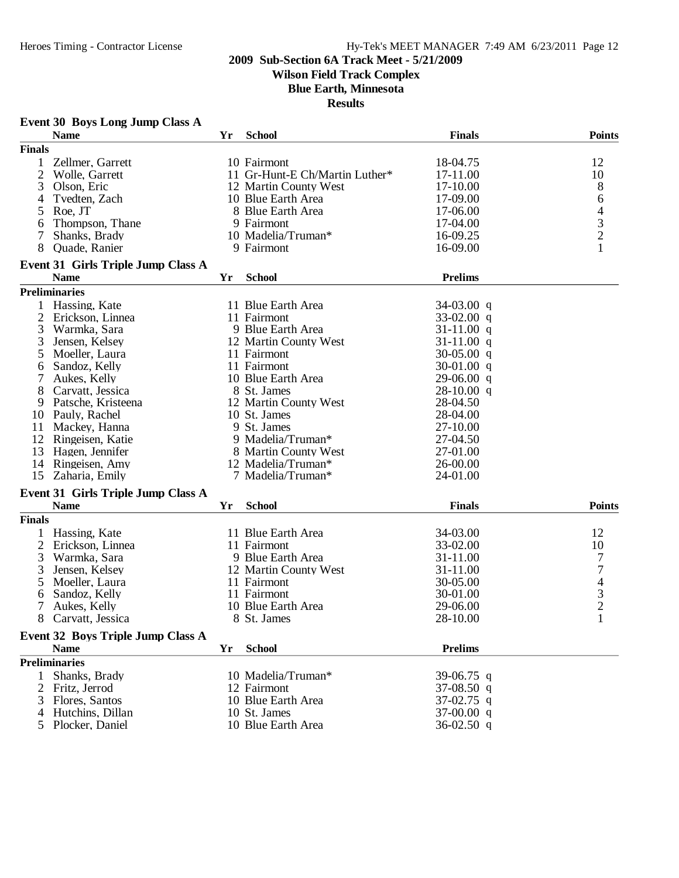**Wilson Field Track Complex**

**Blue Earth, Minnesota**

|               | <b>Event 30 Boys Long Jump Class A</b>   |    |                                |                |                                            |
|---------------|------------------------------------------|----|--------------------------------|----------------|--------------------------------------------|
|               | <b>Name</b>                              | Yr | <b>School</b>                  | <b>Finals</b>  | <b>Points</b>                              |
| <b>Finals</b> |                                          |    |                                |                |                                            |
| $\mathbf{1}$  | Zellmer, Garrett                         |    | 10 Fairmont                    | 18-04.75       | 12                                         |
| 2             | Wolle, Garrett                           |    | 11 Gr-Hunt-E Ch/Martin Luther* | 17-11.00       | 10                                         |
| 3             | Olson, Eric                              |    | 12 Martin County West          | 17-10.00       | 8                                          |
| 4             | Tvedten, Zach                            |    | 10 Blue Earth Area             | 17-09.00       | 6                                          |
| 5             | Roe, JT                                  |    | 8 Blue Earth Area              | 17-06.00       |                                            |
| 6             | Thompson, Thane                          |    | 9 Fairmont                     | 17-04.00       | $\begin{array}{c} 4 \\ 3 \\ 2 \end{array}$ |
| 7             | Shanks, Brady                            |    | 10 Madelia/Truman*             | 16-09.25       |                                            |
| 8             | Quade, Ranier                            |    | 9 Fairmont                     | 16-09.00       | $\mathbf{1}$                               |
|               | Event 31 Girls Triple Jump Class A       |    |                                |                |                                            |
|               | <b>Name</b>                              | Yr | <b>School</b>                  | <b>Prelims</b> |                                            |
|               | <b>Preliminaries</b>                     |    |                                |                |                                            |
|               | Hassing, Kate                            |    | 11 Blue Earth Area             | $34-03.00$ q   |                                            |
| 2             | Erickson, Linnea                         |    | 11 Fairmont                    | $33-02.00$ q   |                                            |
| 3             | Warmka, Sara                             |    | 9 Blue Earth Area              | $31-11.00$ q   |                                            |
| 3             | Jensen, Kelsey                           |    | 12 Martin County West          | $31-11.00$ q   |                                            |
| 5             | Moeller, Laura                           |    | 11 Fairmont                    | $30-05.00$ q   |                                            |
| 6             | Sandoz, Kelly                            |    | 11 Fairmont                    | $30-01.00$ q   |                                            |
| 7             | Aukes, Kelly                             |    | 10 Blue Earth Area             | $29-06.00$ q   |                                            |
| 8             | Carvatt, Jessica                         |    | 8 St. James                    | $28-10.00$ q   |                                            |
| 9             | Patsche, Kristeena                       |    | 12 Martin County West          | 28-04.50       |                                            |
|               | 10 Pauly, Rachel                         |    | 10 St. James                   | 28-04.00       |                                            |
| 11            | Mackey, Hanna                            |    | 9 St. James                    | 27-10.00       |                                            |
| 12            | Ringeisen, Katie                         |    | 9 Madelia/Truman*              | 27-04.50       |                                            |
| 13            | Hagen, Jennifer                          |    | 8 Martin County West           | 27-01.00       |                                            |
| 14            | Ringeisen, Amy                           |    | 12 Madelia/Truman*             | 26-00.00       |                                            |
| 15            | Zaharia, Emily                           |    | 7 Madelia/Truman*              | 24-01.00       |                                            |
|               |                                          |    |                                |                |                                            |
|               | Event 31 Girls Triple Jump Class A       |    |                                |                | <b>Points</b>                              |
|               | <b>Name</b>                              | Yr | <b>School</b>                  | <b>Finals</b>  |                                            |
| <b>Finals</b> |                                          |    |                                |                |                                            |
|               | 1 Hassing, Kate                          |    | 11 Blue Earth Area             | 34-03.00       | 12                                         |
| 2             | Erickson, Linnea                         |    | 11 Fairmont                    | 33-02.00       | 10                                         |
| 3             | Warmka, Sara                             |    | 9 Blue Earth Area              | 31-11.00       | 7                                          |
| 3             | Jensen, Kelsey                           |    | 12 Martin County West          | 31-11.00       | $\overline{7}$                             |
| 5             | Moeller, Laura                           |    | 11 Fairmont                    | 30-05.00       | $rac{4}{3}$                                |
| 6             | Sandoz, Kelly                            |    | 11 Fairmont                    | 30-01.00       |                                            |
| 7             | Aukes, Kelly                             |    | 10 Blue Earth Area             | 29-06.00       | $\mathfrak{D}$                             |
|               | 8 Carvatt, Jessica                       |    | 8 St. James                    | 28-10.00       | 1                                          |
|               | <b>Event 32 Boys Triple Jump Class A</b> |    |                                |                |                                            |
|               | <b>Name</b>                              | Yr | <b>School</b>                  | <b>Prelims</b> |                                            |
|               | <b>Preliminaries</b>                     |    |                                |                |                                            |
| 1             | Shanks, Brady                            |    | 10 Madelia/Truman*             | 39-06.75 q     |                                            |
| 2             | Fritz, Jerrod                            |    | 12 Fairmont                    | 37-08.50 q     |                                            |
| 3             | Flores, Santos                           |    | 10 Blue Earth Area             | $37-02.75$ q   |                                            |
|               | Hutchins, Dillan                         |    | 10 St. James                   | $37-00.00$ q   |                                            |
| 5             | Plocker, Daniel                          |    | 10 Blue Earth Area             | $36-02.50$ q   |                                            |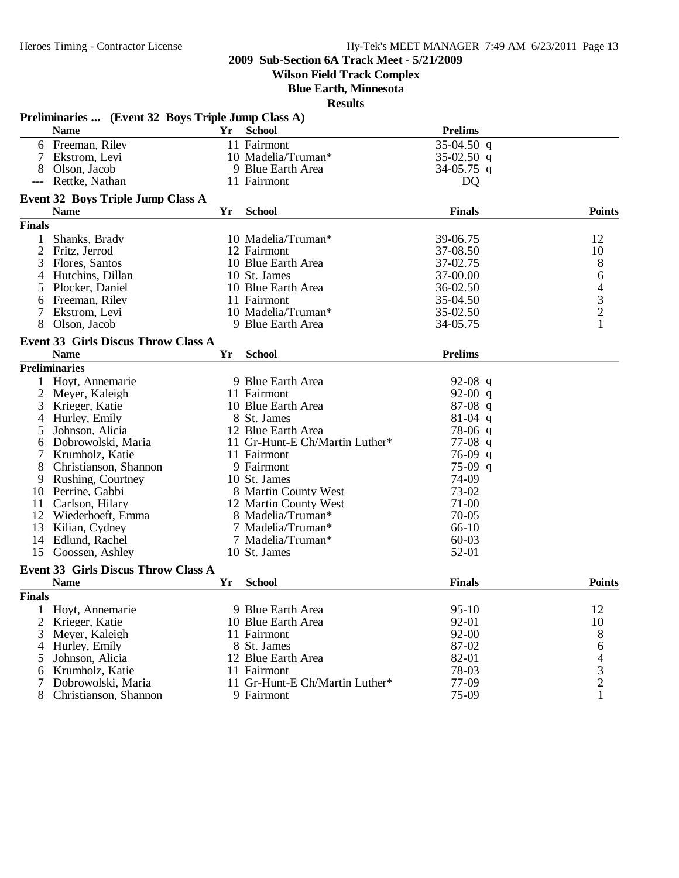**Wilson Field Track Complex**

**Blue Earth, Minnesota**

|                 | Preliminaries  (Event 32 Boys Triple Jump Class A) |    |                                |                |                                            |
|-----------------|----------------------------------------------------|----|--------------------------------|----------------|--------------------------------------------|
|                 | <b>Name</b>                                        | Yr | <b>School</b>                  | <b>Prelims</b> |                                            |
|                 | 6 Freeman, Riley                                   |    | 11 Fairmont                    | $35-04.50$ q   |                                            |
| $7\phantom{.0}$ | Ekstrom, Levi                                      |    | 10 Madelia/Truman*             | $35-02.50$ q   |                                            |
| 8               | Olson, Jacob                                       |    | 9 Blue Earth Area              | 34-05.75 q     |                                            |
|                 | Rettke, Nathan                                     |    | 11 Fairmont                    | D <sub>Q</sub> |                                            |
|                 | <b>Event 32 Boys Triple Jump Class A</b>           |    |                                |                |                                            |
|                 | <b>Name</b>                                        | Yr | <b>School</b>                  | <b>Finals</b>  | <b>Points</b>                              |
| <b>Finals</b>   |                                                    |    |                                |                |                                            |
| 1               | Shanks, Brady                                      |    | 10 Madelia/Truman*             | 39-06.75       | 12                                         |
| 2               | Fritz, Jerrod                                      |    | 12 Fairmont                    | 37-08.50       | 10                                         |
| 3               | Flores, Santos                                     |    | 10 Blue Earth Area             | 37-02.75       | 8                                          |
| 4               | Hutchins, Dillan                                   |    | 10 St. James                   | 37-00.00       | 6                                          |
| 5               | Plocker, Daniel                                    |    | 10 Blue Earth Area             | 36-02.50       |                                            |
| 6               | Freeman, Riley                                     |    | 11 Fairmont                    | 35-04.50       | $\begin{array}{c} 4 \\ 3 \\ 2 \end{array}$ |
| 7               | Ekstrom, Levi                                      |    | 10 Madelia/Truman*             | 35-02.50       |                                            |
| 8               | Olson, Jacob                                       |    | 9 Blue Earth Area              | 34-05.75       | 1                                          |
|                 | <b>Event 33 Girls Discus Throw Class A</b>         |    |                                |                |                                            |
|                 | <b>Name</b>                                        | Yr | <b>School</b>                  | <b>Prelims</b> |                                            |
|                 | <b>Preliminaries</b>                               |    |                                |                |                                            |
|                 | 1 Hoyt, Annemarie                                  |    | 9 Blue Earth Area              | 92-08 q        |                                            |
| 2               | Meyer, Kaleigh                                     |    | 11 Fairmont                    | 92-00 $q$      |                                            |
| 3               | Krieger, Katie                                     |    | 10 Blue Earth Area             | $87-08$ q      |                                            |
| 4               | Hurley, Emily                                      |    | 8 St. James                    | $81-04$ q      |                                            |
| 5               | Johnson, Alicia                                    |    | 12 Blue Earth Area             | $78-06$ q      |                                            |
| 6               | Dobrowolski, Maria                                 |    | 11 Gr-Hunt-E Ch/Martin Luther* | $77-08$ q      |                                            |
| 7               | Krumholz, Katie                                    |    | 11 Fairmont                    | $76-09$ q      |                                            |
| 8               | Christianson, Shannon                              |    | 9 Fairmont                     | $75-09$ q      |                                            |
| 9               | Rushing, Courtney                                  |    | 10 St. James                   | 74-09          |                                            |
| 10              | Perrine, Gabbi                                     |    | 8 Martin County West           | 73-02          |                                            |
| 11              | Carlson, Hilary                                    |    | 12 Martin County West          | 71-00          |                                            |
| 12              | Wiederhoeft, Emma                                  |    | 8 Madelia/Truman*              | $70 - 05$      |                                            |
| 13              | Kilian, Cydney                                     |    | 7 Madelia/Truman*              | 66-10          |                                            |
| 14              | Edlund, Rachel                                     |    | 7 Madelia/Truman*              | $60 - 03$      |                                            |
|                 | 15 Goossen, Ashley                                 |    | 10 St. James                   | 52-01          |                                            |
|                 |                                                    |    |                                |                |                                            |
|                 | <b>Event 33 Girls Discus Throw Class A</b>         |    |                                |                |                                            |
|                 | <b>Name</b>                                        | Yr | <b>School</b>                  | <b>Finals</b>  | <b>Points</b>                              |
| <b>Finals</b>   |                                                    |    |                                |                |                                            |
|                 | 1 Hoyt, Annemarie                                  |    | 9 Blue Earth Area              | $95-10$        | 12                                         |
| 2               | Krieger, Katie                                     |    | 10 Blue Earth Area             | 92-01          | 10                                         |
| 3               | Meyer, Kaleigh                                     |    | 11 Fairmont                    | 92-00          | $\,8\,$                                    |
| 4               | Hurley, Emily                                      |    | 8 St. James                    | 87-02          | 6                                          |
| 5               | Johnson, Alicia                                    |    | 12 Blue Earth Area             | 82-01          | $\begin{array}{c} 4 \\ 3 \\ 2 \end{array}$ |
| 6               | Krumholz, Katie                                    |    | 11 Fairmont                    | 78-03          |                                            |
|                 | Dobrowolski, Maria                                 |    | 11 Gr-Hunt-E Ch/Martin Luther* | 77-09          |                                            |
| 8               | Christianson, Shannon                              |    | 9 Fairmont                     | 75-09          | $\mathbf 1$                                |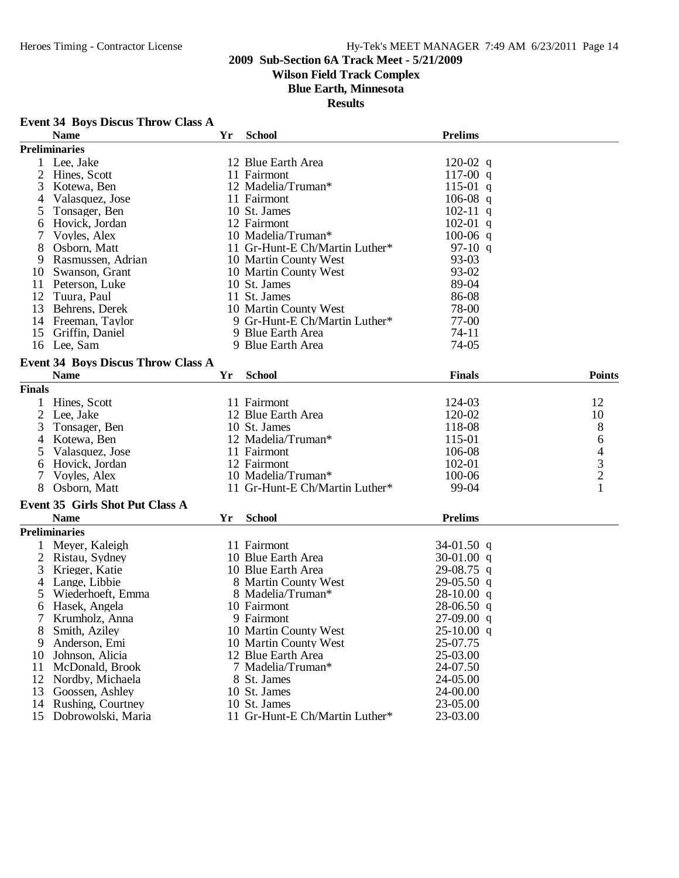## Heroes Timing - Contractor License Hy-Tek's MEET MANAGER 7:49 AM 6/23/2011 Page 14

### **2009 Sub-Section 6A Track Meet - 5/21/2009**

## **Wilson Field Track Complex**

**Blue Earth, Minnesota**

**Results**

#### **Event 34 Boys Discus Throw Class A**

|                | <b>Name</b>                               | Yr | <b>School</b>                  | <b>Prelims</b> |                |
|----------------|-------------------------------------------|----|--------------------------------|----------------|----------------|
|                | <b>Preliminaries</b>                      |    |                                |                |                |
| 1              | Lee, Jake                                 |    | 12 Blue Earth Area             | $120-02$ q     |                |
|                | 2 Hines, Scott                            |    | 11 Fairmont                    | 117-00 $q$     |                |
| 3              | Kotewa, Ben                               |    | 12 Madelia/Truman*             | $115-01$ q     |                |
| 4              | Valasquez, Jose                           |    | 11 Fairmont                    | 106-08 q       |                |
| 5              | Tonsager, Ben                             |    | 10 St. James                   | $102-11$ q     |                |
| 6              | Hovick, Jordan                            |    | 12 Fairmont                    | $102-01$ q     |                |
| 7              | Voyles, Alex                              |    | 10 Madelia/Truman*             | $100-06$ q     |                |
| 8              | Osborn, Matt                              |    | 11 Gr-Hunt-E Ch/Martin Luther* | 97-10 q        |                |
| 9              | Rasmussen, Adrian                         |    | 10 Martin County West          | 93-03          |                |
|                |                                           |    | 10 Martin County West          |                |                |
| 10             | Swanson, Grant                            |    |                                | 93-02          |                |
| 11             | Peterson, Luke                            |    | 10 St. James                   | 89-04          |                |
| 12             | Tuura, Paul                               |    | 11 St. James                   | 86-08          |                |
|                | 13 Behrens, Derek                         |    | 10 Martin County West          | 78-00          |                |
|                | 14 Freeman, Taylor                        |    | 9 Gr-Hunt-E Ch/Martin Luther*  | 77-00          |                |
|                | 15 Griffin, Daniel                        |    | 9 Blue Earth Area              | 74-11          |                |
|                | 16 Lee, Sam                               |    | 9 Blue Earth Area              | 74-05          |                |
|                | <b>Event 34 Boys Discus Throw Class A</b> |    |                                |                |                |
|                | <b>Name</b>                               | Yr | <b>School</b>                  | <b>Finals</b>  | <b>Points</b>  |
| <b>Finals</b>  |                                           |    |                                |                |                |
|                |                                           |    |                                | 124-03         |                |
| 1              | Hines, Scott                              |    | 11 Fairmont                    |                | 12             |
| $\overline{2}$ | Lee, Jake                                 |    | 12 Blue Earth Area             | 120-02         | 10             |
| 3              | Tonsager, Ben                             |    | 10 St. James                   | 118-08         | 8              |
| 4              | Kotewa, Ben                               |    | 12 Madelia/Truman*             | 115-01         | 6              |
| 5              | Valasquez, Jose                           |    | 11 Fairmont                    | 106-08         | 4              |
| 6              | Hovick, Jordan                            |    | 12 Fairmont                    | 102-01         | 3              |
| 7              | Voyles, Alex                              |    | 10 Madelia/Truman*             | 100-06         | $\overline{c}$ |
| 8              | Osborn, Matt                              |    | 11 Gr-Hunt-E Ch/Martin Luther* | 99-04          | 1              |
|                | <b>Event 35 Girls Shot Put Class A</b>    |    |                                |                |                |
|                | <b>Name</b>                               | Yr | <b>School</b>                  | <b>Prelims</b> |                |
|                | <b>Preliminaries</b>                      |    |                                |                |                |
|                | Meyer, Kaleigh                            |    | 11 Fairmont                    | 34-01.50 $q$   |                |
| 2              | Ristau, Sydney                            |    | 10 Blue Earth Area             | 30-01.00 $q$   |                |
| 3              | Krieger, Katie                            |    | 10 Blue Earth Area             | $29-08.75$ q   |                |
|                |                                           |    |                                |                |                |
| 4              | Lange, Libbie                             |    | 8 Martin County West           | $29-05.50$ q   |                |
| 5              | Wiederhoeft, Emma                         |    | 8 Madelia/Truman*              | $28-10.00$ q   |                |
| 6              | Hasek, Angela                             |    | 10 Fairmont                    | $28-06.50$ q   |                |
|                | Krumholz, Anna                            |    | 9 Fairmont                     | $27-09.00$ q   |                |
| ŏ              | Smith, Aziley                             |    | 10 Martin County West          | $25-10.00$ q   |                |
| 9              | Anderson, Emi                             |    | 10 Martin County West          | 25-07.75       |                |
| 10             | Johnson, Alicia                           |    | 12 Blue Earth Area             | 25-03.00       |                |
| 11             | McDonald, Brook                           |    | 7 Madelia/Truman*              | 24-07.50       |                |
| 12             | Nordby, Michaela                          |    | 8 St. James                    | 24-05.00       |                |
| 13             | Goossen, Ashley                           |    | 10 St. James                   | 24-00.00       |                |
| 14             | Rushing, Courtney                         |    | 10 St. James                   | 23-05.00       |                |
| 15             | Dobrowolski, Maria                        |    | 11 Gr-Hunt-E Ch/Martin Luther* | 23-03.00       |                |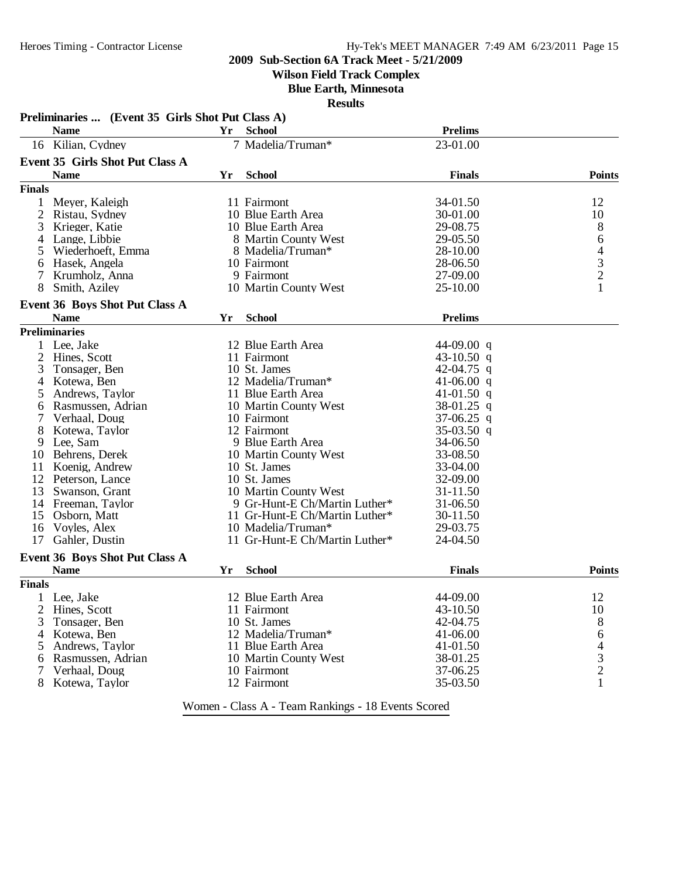**Wilson Field Track Complex**

**Blue Earth, Minnesota**

|               | <b>Name</b>                            | Yr | <b>School</b>                  | <b>Prelims</b> |                                            |
|---------------|----------------------------------------|----|--------------------------------|----------------|--------------------------------------------|
|               | 16 Kilian, Cydney                      |    | 7 Madelia/Truman*              | 23-01.00       |                                            |
|               | <b>Event 35 Girls Shot Put Class A</b> |    |                                |                |                                            |
|               | <b>Name</b>                            | Yr | <b>School</b>                  | <b>Finals</b>  | <b>Points</b>                              |
| <b>Finals</b> |                                        |    |                                |                |                                            |
|               |                                        |    |                                |                |                                            |
| 1             | Meyer, Kaleigh                         |    | 11 Fairmont                    | 34-01.50       | 12                                         |
| 2             | Ristau, Sydney                         |    | 10 Blue Earth Area             | 30-01.00       | 10                                         |
| 3             | Krieger, Katie                         |    | 10 Blue Earth Area             | 29-08.75       | 8                                          |
| 4             | Lange, Libbie                          |    | 8 Martin County West           | 29-05.50       | 6                                          |
| 5             | Wiederhoeft, Emma                      |    | 8 Madelia/Truman*              | 28-10.00       | $\begin{array}{c} 4 \\ 3 \\ 2 \end{array}$ |
| 6             | Hasek, Angela                          |    | 10 Fairmont                    | 28-06.50       |                                            |
| 7             | Krumholz, Anna                         |    | 9 Fairmont                     | 27-09.00       |                                            |
| 8             | Smith, Aziley                          |    | 10 Martin County West          | 25-10.00       | $\mathbf{1}$                               |
|               | Event 36 Boys Shot Put Class A         |    |                                |                |                                            |
|               | <b>Name</b>                            | Yr | <b>School</b>                  | <b>Prelims</b> |                                            |
|               | <b>Preliminaries</b>                   |    |                                |                |                                            |
|               | 1 Lee, Jake                            |    | 12 Blue Earth Area             | 44-09.00 q     |                                            |
| 2             | Hines, Scott                           |    | 11 Fairmont                    | 43-10.50 q     |                                            |
| 3             | Tonsager, Ben                          |    | 10 St. James                   | 42-04.75 q     |                                            |
| 4             | Kotewa, Ben                            |    | 12 Madelia/Truman*             | 41-06.00 $q$   |                                            |
|               | Andrews, Taylor                        |    | 11 Blue Earth Area             | 41-01.50 q     |                                            |
|               |                                        |    |                                | 38-01.25 q     |                                            |
| 6             | Rasmussen, Adrian                      |    | 10 Martin County West          |                |                                            |
|               | Verhaal, Doug                          |    | 10 Fairmont                    | $37-06.25$ q   |                                            |
| 8             | Kotewa, Taylor                         |    | 12 Fairmont                    | $35-03.50$ q   |                                            |
| 9             | Lee, Sam                               |    | 9 Blue Earth Area              | 34-06.50       |                                            |
| 10            | Behrens, Derek                         |    | 10 Martin County West          | 33-08.50       |                                            |
| 11            | Koenig, Andrew                         |    | 10 St. James                   | 33-04.00       |                                            |
|               | 12 Peterson, Lance                     |    | 10 St. James                   | 32-09.00       |                                            |
| 13            | Swanson, Grant                         |    | 10 Martin County West          | 31-11.50       |                                            |
| 14            | Freeman, Taylor                        |    | 9 Gr-Hunt-E Ch/Martin Luther*  | 31-06.50       |                                            |
| 15            | Osborn, Matt                           |    | 11 Gr-Hunt-E Ch/Martin Luther* | 30-11.50       |                                            |
| 16            | Voyles, Alex                           |    | 10 Madelia/Truman*             | 29-03.75       |                                            |
| 17            | Gahler, Dustin                         |    | 11 Gr-Hunt-E Ch/Martin Luther* | 24-04.50       |                                            |
|               | <b>Event 36 Boys Shot Put Class A</b>  |    |                                |                |                                            |
|               | <b>Name</b>                            | Yr | <b>School</b>                  | <b>Finals</b>  | <b>Points</b>                              |
| <b>Finals</b> |                                        |    |                                |                |                                            |
|               | 1 Lee, Jake                            |    | 12 Blue Earth Area             | 44-09.00       | 12                                         |
| 2             | Hines, Scott                           |    | 11 Fairmont                    | 43-10.50       | 10                                         |
| 3             | Tonsager, Ben                          |    | 10 St. James                   | 42-04.75       | 8                                          |
| 4             | Kotewa, Ben                            |    | 12 Madelia/Truman*             | 41-06.00       | 6                                          |
|               | Andrews, Taylor                        |    | 11 Blue Earth Area             | 41-01.50       | 4                                          |
| 6             | Rasmussen, Adrian                      |    | 10 Martin County West          | 38-01.25       |                                            |
| 7             | Verhaal, Doug                          |    | 10 Fairmont                    | 37-06.25       | $\frac{3}{2}$                              |
|               | Kotewa, Taylor                         |    | 12 Fairmont                    | 35-03.50       | $\mathbf{1}$                               |
| 8             |                                        |    |                                |                |                                            |